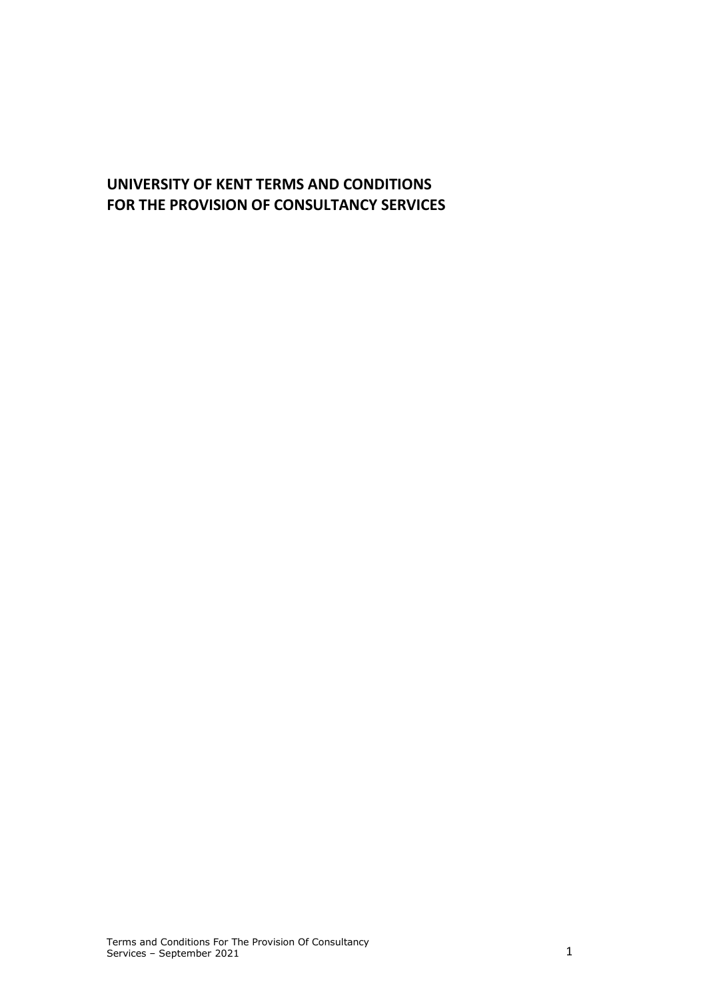# **UNIVERSITY OF KENT TERMS AND CONDITIONS FOR THE PROVISION OF CONSULTANCY SERVICES**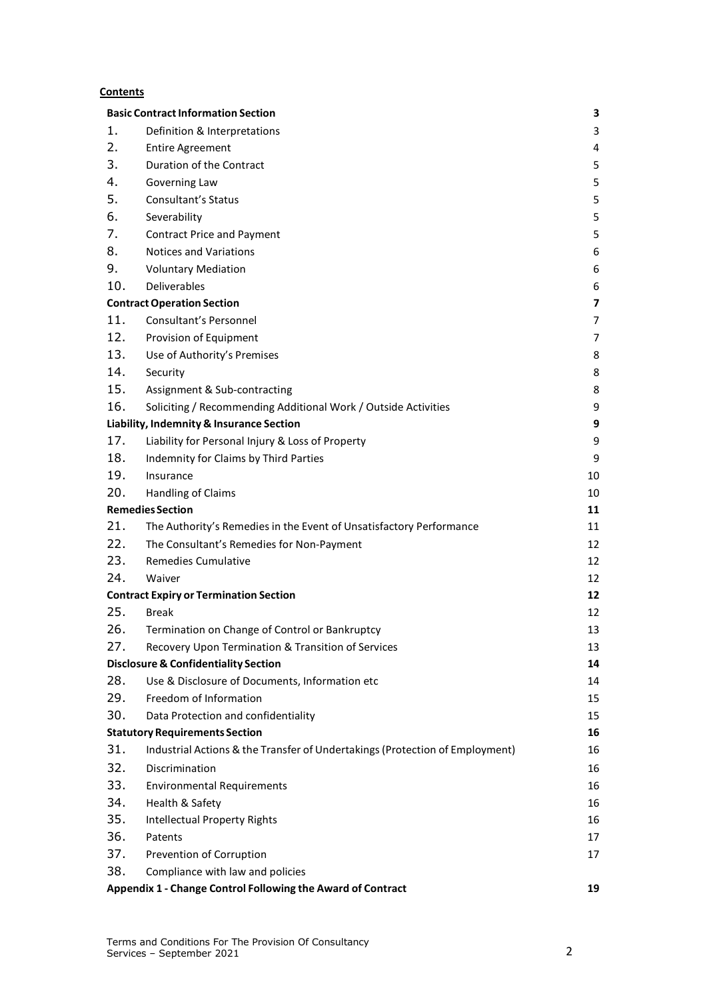#### **Contents**

| <b>Basic Contract Information Section</b><br>3                    |                                                                              |                |  |
|-------------------------------------------------------------------|------------------------------------------------------------------------------|----------------|--|
| 1.                                                                | Definition & Interpretations                                                 | 3              |  |
| 2.                                                                | <b>Entire Agreement</b>                                                      | 4              |  |
| 3.                                                                | Duration of the Contract                                                     | 5              |  |
| 4.                                                                | Governing Law                                                                | 5              |  |
| 5.                                                                | Consultant's Status                                                          | 5              |  |
| 6.                                                                | Severability                                                                 | 5              |  |
| 7.                                                                | <b>Contract Price and Payment</b>                                            | 5              |  |
| 8.                                                                | <b>Notices and Variations</b>                                                | 6              |  |
| 9.                                                                | <b>Voluntary Mediation</b>                                                   | 6              |  |
| 10.                                                               | Deliverables                                                                 | 6              |  |
|                                                                   | <b>Contract Operation Section</b>                                            | $\overline{7}$ |  |
| 11.                                                               | <b>Consultant's Personnel</b>                                                | $\overline{7}$ |  |
| 12.                                                               | Provision of Equipment                                                       | 7              |  |
| 13.                                                               | Use of Authority's Premises                                                  | 8              |  |
| 14.                                                               | Security                                                                     | 8              |  |
| 15.                                                               | Assignment & Sub-contracting                                                 | 8              |  |
| 16.                                                               | Soliciting / Recommending Additional Work / Outside Activities               | 9              |  |
| Liability, Indemnity & Insurance Section<br>9                     |                                                                              |                |  |
| 17.                                                               | Liability for Personal Injury & Loss of Property                             | 9              |  |
| 18.                                                               | Indemnity for Claims by Third Parties                                        | 9              |  |
| 19.                                                               | Insurance                                                                    | 10             |  |
| 20.                                                               | Handling of Claims                                                           | 10             |  |
| <b>Remedies Section</b>                                           |                                                                              | 11             |  |
| 21.                                                               | The Authority's Remedies in the Event of Unsatisfactory Performance          | 11             |  |
| 22.                                                               | The Consultant's Remedies for Non-Payment                                    | 12             |  |
| 23.                                                               | <b>Remedies Cumulative</b>                                                   | 12             |  |
| 24.                                                               | Waiver                                                                       | 12             |  |
| <b>Contract Expiry or Termination Section</b><br>12               |                                                                              |                |  |
| 25.                                                               | <b>Break</b>                                                                 | 12             |  |
| 26.                                                               | Termination on Change of Control or Bankruptcy                               | 13             |  |
| 27.                                                               | Recovery Upon Termination & Transition of Services                           | 13             |  |
|                                                                   | <b>Disclosure &amp; Confidentiality Section</b>                              | 14             |  |
| 28.                                                               | Use & Disclosure of Documents, Information etc                               | 14             |  |
| 29.                                                               | Freedom of Information                                                       | 15             |  |
| 30.                                                               | Data Protection and confidentiality                                          | 15             |  |
|                                                                   | <b>Statutory Requirements Section</b>                                        | 16             |  |
| 31.                                                               | Industrial Actions & the Transfer of Undertakings (Protection of Employment) | 16             |  |
| 32.                                                               | Discrimination                                                               | 16             |  |
| 33.                                                               | <b>Environmental Requirements</b>                                            | 16             |  |
| 34.                                                               | Health & Safety                                                              | 16             |  |
| 35.                                                               | <b>Intellectual Property Rights</b>                                          | 16             |  |
| 36.                                                               | Patents                                                                      | 17             |  |
| 37.                                                               | Prevention of Corruption                                                     | 17             |  |
| 38.                                                               | Compliance with law and policies                                             |                |  |
| Appendix 1 - Change Control Following the Award of Contract<br>19 |                                                                              |                |  |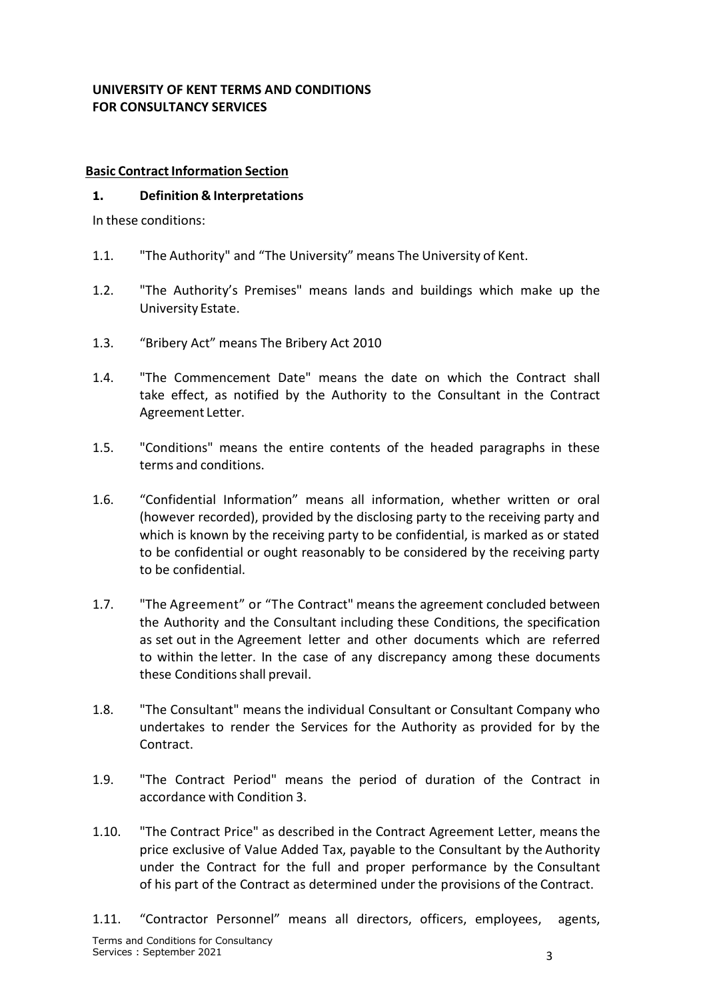### <span id="page-2-0"></span>**UNIVERSITY OF KENT TERMS AND CONDITIONS FOR CONSULTANCY SERVICES**

#### **Basic Contract Information Section**

#### <span id="page-2-1"></span>**1. Definition & Interpretations**

In these conditions:

- 1.1. "The Authority" and "The University" means The University of Kent.
- 1.2. "The Authority's Premises" means lands and buildings which make up the University Estate.
- 1.3. "Bribery Act" means The Bribery Act 2010
- 1.4. "The Commencement Date" means the date on which the Contract shall take effect, as notified by the Authority to the Consultant in the Contract Agreement Letter.
- 1.5. "Conditions" means the entire contents of the headed paragraphs in these terms and conditions.
- 1.6. "Confidential Information" means all information, whether written or oral (however recorded), provided by the disclosing party to the receiving party and which is known by the receiving party to be confidential, is marked as or stated to be confidential or ought reasonably to be considered by the receiving party to be confidential.
- 1.7. "The Agreement" or "The Contract" means the agreement concluded between the Authority and the Consultant including these Conditions, the specification as set out in the Agreement letter and other documents which are referred to within the letter. In the case of any discrepancy among these documents these Conditions shall prevail.
- 1.8. "The Consultant" means the individual Consultant or Consultant Company who undertakes to render the Services for the Authority as provided for by the Contract.
- 1.9. "The Contract Period" means the period of duration of the Contract in accordance with Condition 3.
- 1.10. "The Contract Price" as described in the Contract Agreement Letter, means the price exclusive of Value Added Tax, payable to the Consultant by the Authority under the Contract for the full and proper performance by the Consultant of his part of the Contract as determined under the provisions of the Contract.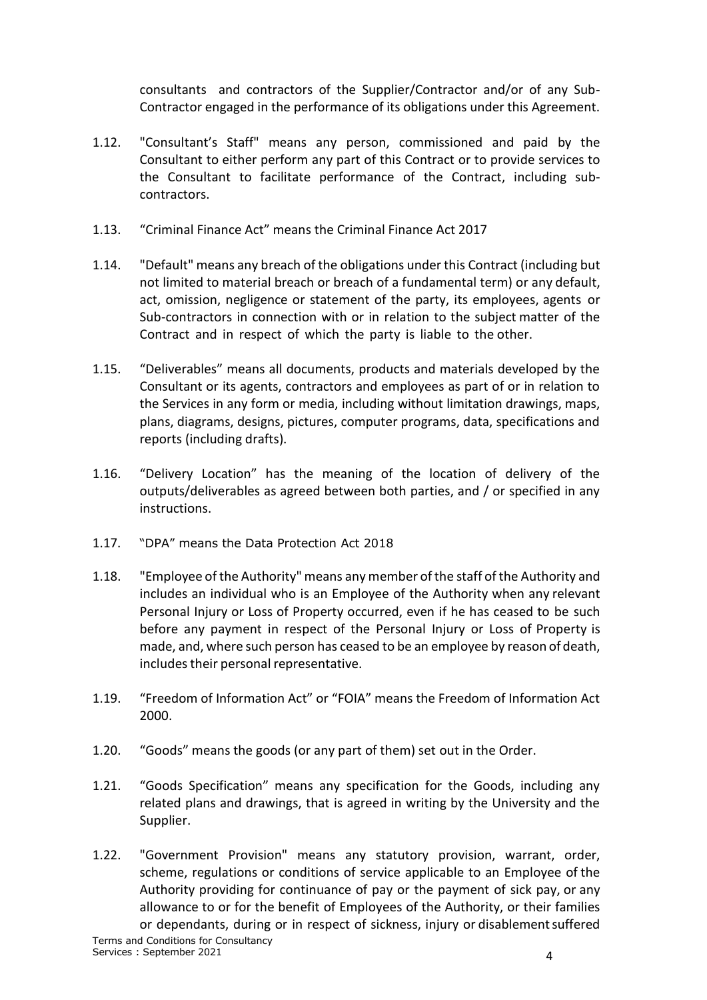consultants and contractors of the Supplier/Contractor and/or of any Sub-Contractor engaged in the performance of its obligations under this Agreement.

- 1.12. "Consultant's Staff" means any person, commissioned and paid by the Consultant to either perform any part of this Contract or to provide services to the Consultant to facilitate performance of the Contract, including subcontractors.
- 1.13. "Criminal Finance Act" means the Criminal Finance Act 2017
- 1.14. "Default" means any breach of the obligations under this Contract (including but not limited to material breach or breach of a fundamental term) or any default, act, omission, negligence or statement of the party, its employees, agents or Sub-contractors in connection with or in relation to the subject matter of the Contract and in respect of which the party is liable to the other.
- 1.15. "Deliverables" means all documents, products and materials developed by the Consultant or its agents, contractors and employees as part of or in relation to the Services in any form or media, including without limitation drawings, maps, plans, diagrams, designs, pictures, computer programs, data, specifications and reports (including drafts).
- 1.16. "Delivery Location" has the meaning of the location of delivery of the outputs/deliverables as agreed between both parties, and / or specified in any instructions.
- 1.17. "DPA" means the Data Protection Act 2018
- 1.18. "Employee of the Authority" means any member ofthe staff ofthe Authority and includes an individual who is an Employee of the Authority when any relevant Personal Injury or Loss of Property occurred, even if he has ceased to be such before any payment in respect of the Personal Injury or Loss of Property is made, and, where such person has ceased to be an employee by reason of death, includes their personal representative.
- 1.19. "Freedom of Information Act" or "FOIA" means the Freedom of Information Act 2000.
- 1.20. "Goods" means the goods (or any part of them) set out in the Order.
- 1.21. "Goods Specification" means any specification for the Goods, including any related plans and drawings, that is agreed in writing by the University and the Supplier.
- 1.22. "Government Provision" means any statutory provision, warrant, order, scheme, regulations or conditions of service applicable to an Employee of the Authority providing for continuance of pay or the payment of sick pay, or any allowance to or for the benefit of Employees of the Authority, or their families or dependants, during or in respect of sickness, injury or disablementsuffered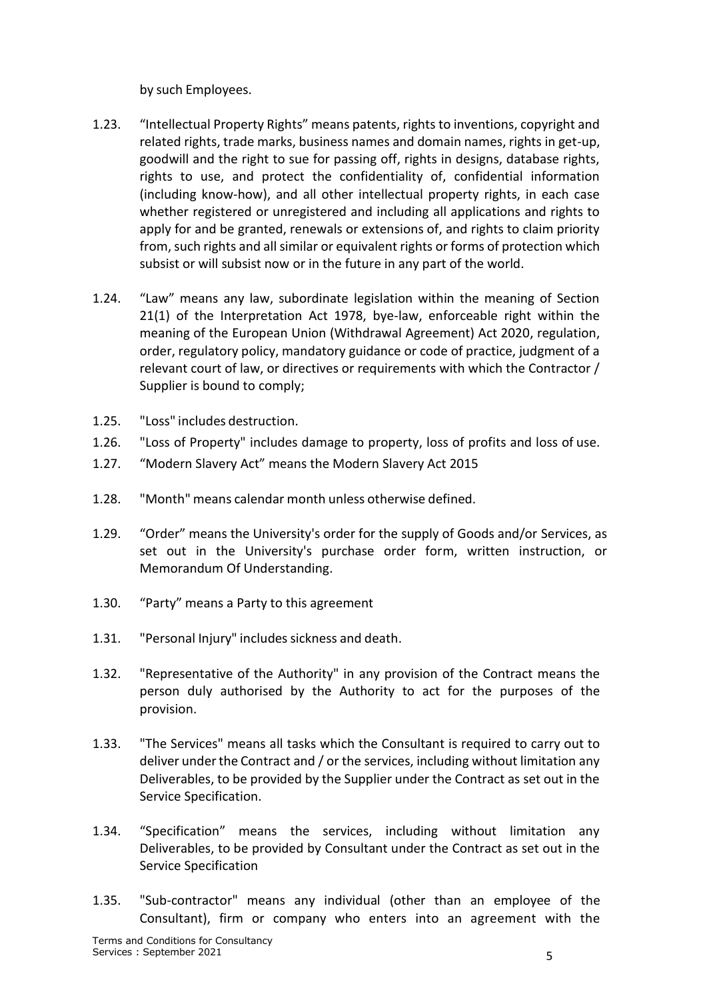by such Employees.

- 1.23. "Intellectual Property Rights" means patents, rights to inventions, copyright and related rights, trade marks, business names and domain names, rights in get-up, goodwill and the right to sue for passing off, rights in designs, database rights, rights to use, and protect the confidentiality of, confidential information (including know-how), and all other intellectual property rights, in each case whether registered or unregistered and including all applications and rights to apply for and be granted, renewals or extensions of, and rights to claim priority from, such rights and all similar or equivalent rights or forms of protection which subsist or will subsist now or in the future in any part of the world.
- 1.24. "Law" means any law, subordinate legislation within the meaning of Section 21(1) of the Interpretation Act 1978, bye-law, enforceable right within the meaning of the European Union (Withdrawal Agreement) Act 2020, regulation, order, regulatory policy, mandatory guidance or code of practice, judgment of a relevant court of law, or directives or requirements with which the Contractor / Supplier is bound to comply;
- 1.25. "Loss" includes destruction.
- 1.26. "Loss of Property" includes damage to property, loss of profits and loss of use.
- 1.27. "Modern Slavery Act" means the Modern Slavery Act 2015
- 1.28. "Month" means calendar month unless otherwise defined.
- 1.29. "Order" means the University's order for the supply of Goods and/or Services, as set out in the University's purchase order form, written instruction, or Memorandum Of Understanding.
- 1.30. "Party" means a Party to this agreement
- 1.31. "Personal Injury" includes sickness and death.
- 1.32. "Representative of the Authority" in any provision of the Contract means the person duly authorised by the Authority to act for the purposes of the provision.
- 1.33. "The Services" means all tasks which the Consultant is required to carry out to deliver under the Contract and / or the services, including without limitation any Deliverables, to be provided by the Supplier under the Contract as set out in the Service Specification.
- 1.34. "Specification" means the services, including without limitation any Deliverables, to be provided by Consultant under the Contract as set out in the Service Specification
- 1.35. "Sub-contractor" means any individual (other than an employee of the Consultant), firm or company who enters into an agreement with the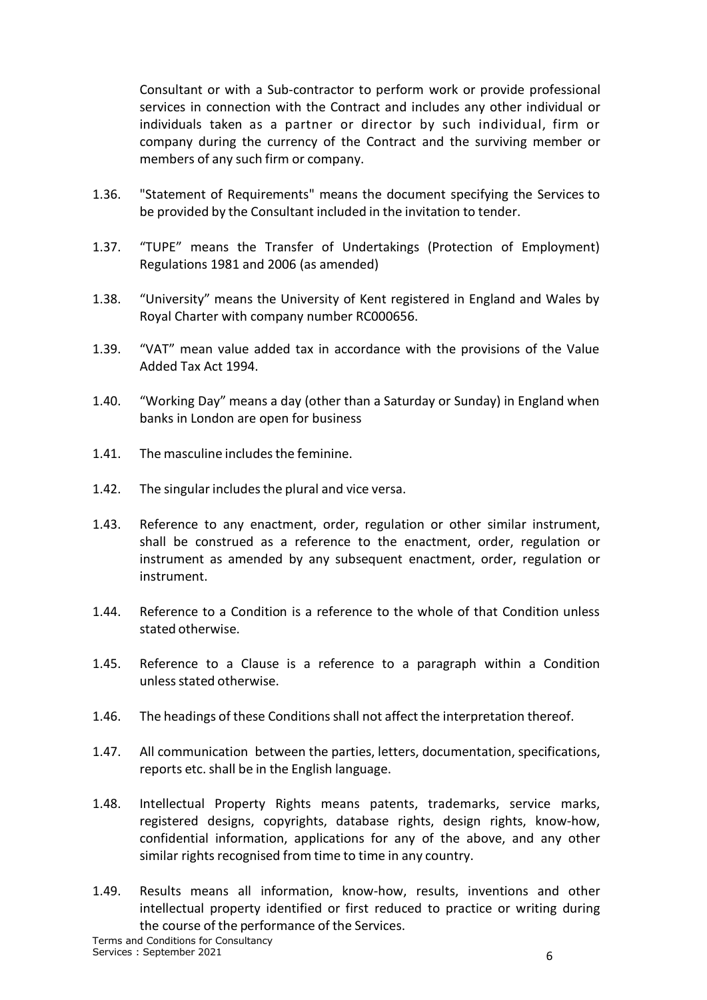Consultant or with a Sub-contractor to perform work or provide professional services in connection with the Contract and includes any other individual or individuals taken as a partner or director by such individual, firm or company during the currency of the Contract and the surviving member or members of any such firm or company.

- 1.36. "Statement of Requirements" means the document specifying the Services to be provided by the Consultant included in the invitation to tender.
- 1.37. "TUPE" means the Transfer of Undertakings (Protection of Employment) Regulations 1981 and 2006 (as amended)
- 1.38. "University" means the University of Kent registered in England and Wales by Royal Charter with company number RC000656.
- 1.39. "VAT" mean value added tax in accordance with the provisions of the Value Added Tax Act 1994.
- 1.40. "Working Day" means a day (other than a Saturday or Sunday) in England when banks in London are open for business
- 1.41. The masculine includesthe feminine.
- 1.42. The singular includesthe plural and vice versa.
- 1.43. Reference to any enactment, order, regulation or other similar instrument, shall be construed as a reference to the enactment, order, regulation or instrument as amended by any subsequent enactment, order, regulation or instrument.
- 1.44. Reference to a Condition is a reference to the whole of that Condition unless stated otherwise.
- 1.45. Reference to a Clause is a reference to a paragraph within a Condition unless stated otherwise.
- 1.46. The headings of these Conditions shall not affect the interpretation thereof.
- 1.47. All communication between the parties, letters, documentation, specifications, reports etc. shall be in the English language.
- 1.48. Intellectual Property Rights means patents, trademarks, service marks, registered designs, copyrights, database rights, design rights, know-how, confidential information, applications for any of the above, and any other similar rights recognised from time to time in any country.
- 1.49. Results means all information, know-how, results, inventions and other intellectual property identified or first reduced to practice or writing during the course of the performance of the Services.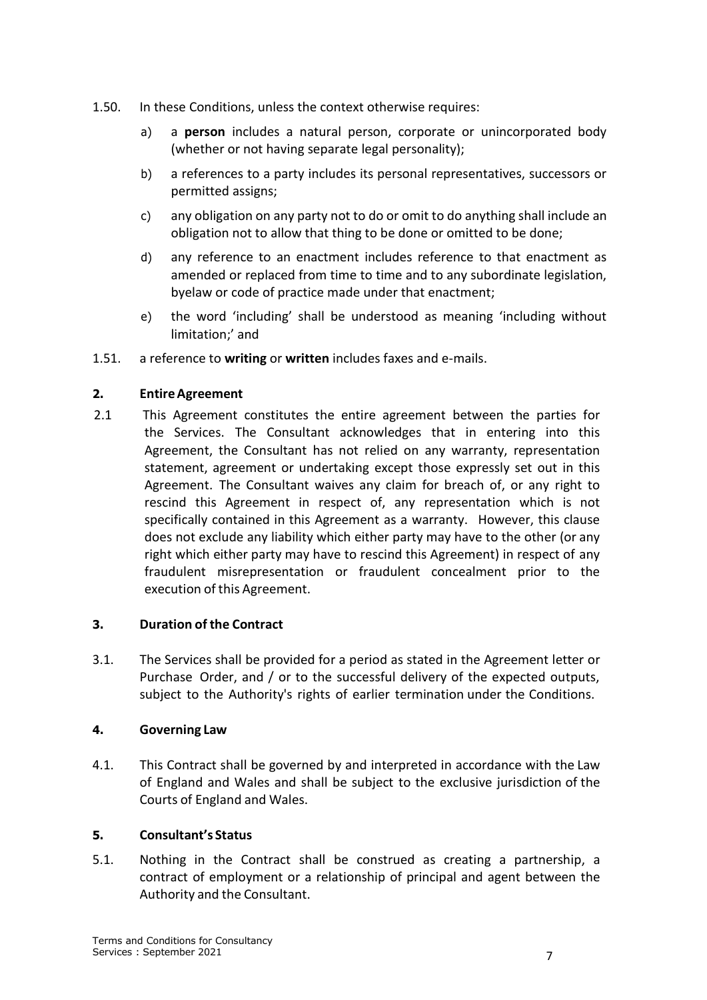- 1.50. In these Conditions, unless the context otherwise requires:
	- a) a **person** includes a natural person, corporate or unincorporated body (whether or not having separate legal personality);
	- b) a references to a party includes its personal representatives, successors or permitted assigns;
	- c) any obligation on any party not to do or omit to do anything shall include an obligation not to allow that thing to be done or omitted to be done;
	- d) any reference to an enactment includes reference to that enactment as amended or replaced from time to time and to any subordinate legislation, byelaw or code of practice made under that enactment;
	- e) the word 'including' shall be understood as meaning 'including without limitation;' and
- 1.51. a reference to **writing** or **written** includes faxes and e-mails.

### <span id="page-6-0"></span>**2. EntireAgreement**

2.1 This Agreement constitutes the entire agreement between the parties for the Services. The Consultant acknowledges that in entering into this Agreement, the Consultant has not relied on any warranty, representation statement, agreement or undertaking except those expressly set out in this Agreement. The Consultant waives any claim for breach of, or any right to rescind this Agreement in respect of, any representation which is not specifically contained in this Agreement as a warranty. However, this clause does not exclude any liability which either party may have to the other (or any right which either party may have to rescind this Agreement) in respect of any fraudulent misrepresentation or fraudulent concealment prior to the execution of this Agreement.

### <span id="page-6-1"></span>**3. Duration of the Contract**

3.1. The Services shall be provided for a period as stated in the Agreement letter or Purchase Order, and / or to the successful delivery of the expected outputs, subject to the Authority's rights of earlier termination under the Conditions.

#### <span id="page-6-2"></span>**4. Governing Law**

<span id="page-6-3"></span>4.1. This Contract shall be governed by and interpreted in accordance with the Law of England and Wales and shall be subject to the exclusive jurisdiction of the Courts of England and Wales.

### **5. Consultant's Status**

5.1. Nothing in the Contract shall be construed as creating a partnership, a contract of employment or a relationship of principal and agent between the Authority and the Consultant.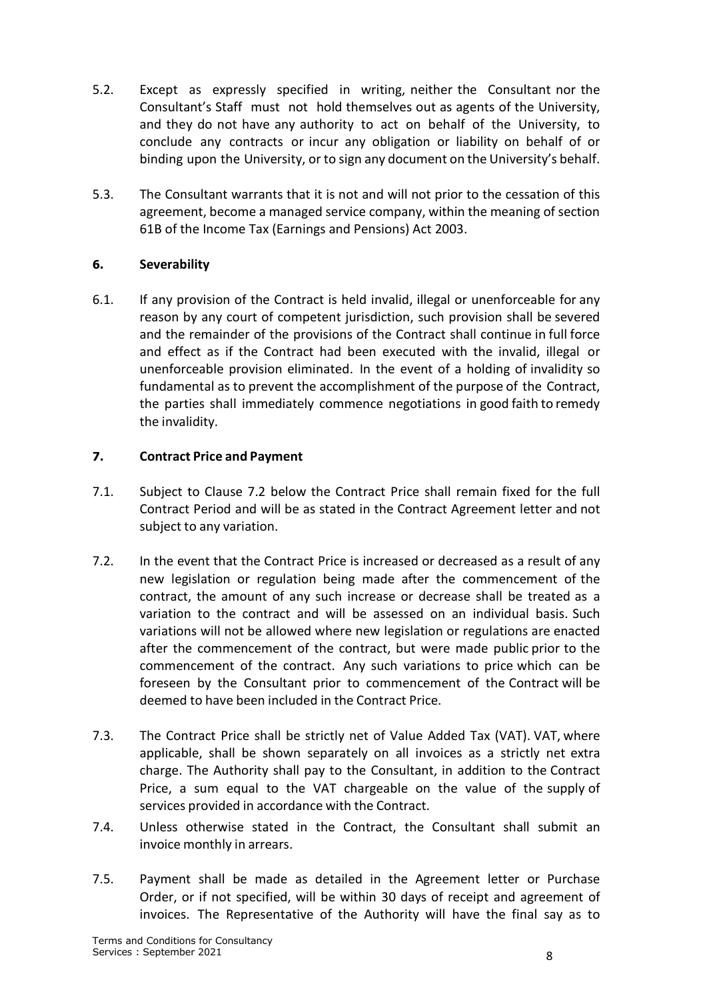- 5.2. Except as expressly specified in writing, neither the Consultant nor the Consultant's Staff must not hold themselves out as agents of the University, and they do not have any authority to act on behalf of the University, to conclude any contracts or incur any obligation or liability on behalf of or binding upon the University, or to sign any document on the University's behalf.
- 5.3. The Consultant warrants that it is not and will not prior to the cessation of this agreement, become a managed service company, within the meaning of section 61B of the Income Tax (Earnings and Pensions) Act 2003.

### <span id="page-7-0"></span>**6. Severability**

6.1. If any provision of the Contract is held invalid, illegal or unenforceable for any reason by any court of competent jurisdiction, such provision shall be severed and the remainder of the provisions of the Contract shall continue in full force and effect as if the Contract had been executed with the invalid, illegal or unenforceable provision eliminated. In the event of a holding of invalidity so fundamental as to prevent the accomplishment of the purpose of the Contract, the parties shall immediately commence negotiations in good faith to remedy the invalidity.

# <span id="page-7-1"></span>**7. Contract Price and Payment**

- 7.1. Subject to Clause 7.2 below the Contract Price shall remain fixed for the full Contract Period and will be as stated in the Contract Agreement letter and not subject to any variation.
- 7.2. In the event that the Contract Price is increased or decreased as a result of any new legislation or regulation being made after the commencement of the contract, the amount of any such increase or decrease shall be treated as a variation to the contract and will be assessed on an individual basis. Such variations will not be allowed where new legislation or regulations are enacted after the commencement of the contract, but were made public prior to the commencement of the contract. Any such variations to price which can be foreseen by the Consultant prior to commencement of the Contract will be deemed to have been included in the Contract Price.
- 7.3. The Contract Price shall be strictly net of Value Added Tax (VAT). VAT, where applicable, shall be shown separately on all invoices as a strictly net extra charge. The Authority shall pay to the Consultant, in addition to the Contract Price, a sum equal to the VAT chargeable on the value of the supply of services provided in accordance with the Contract.
- 7.4. Unless otherwise stated in the Contract, the Consultant shall submit an invoice monthly in arrears.
- 7.5. Payment shall be made as detailed in the Agreement letter or Purchase Order, or if not specified, will be within 30 days of receipt and agreement of invoices. The Representative of the Authority will have the final say as to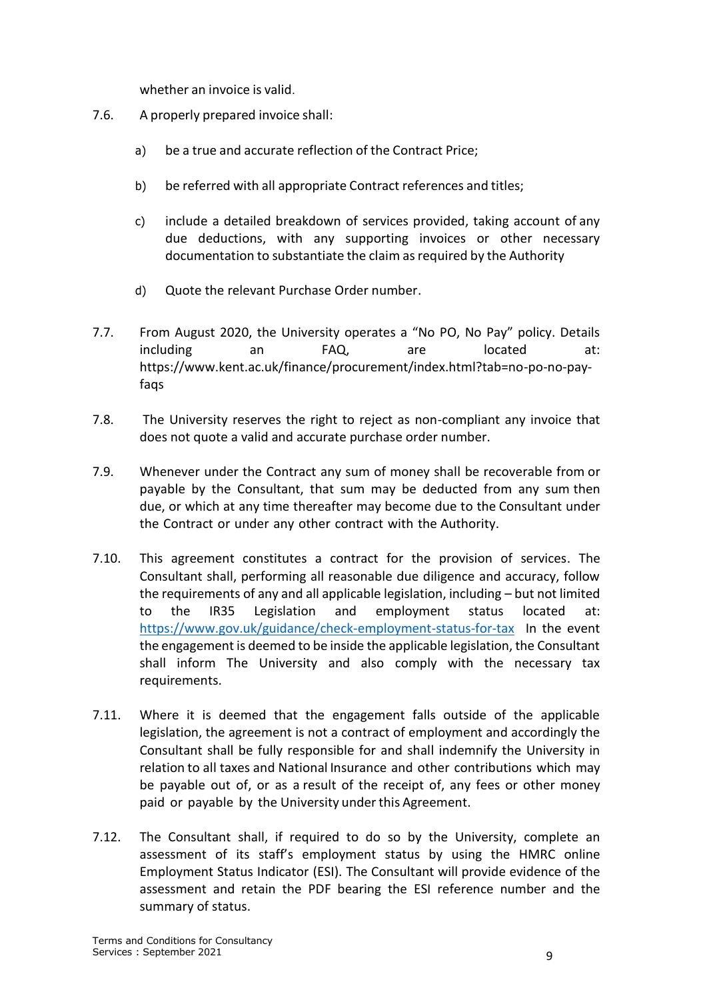whether an invoice is valid.

- 7.6. A properly prepared invoice shall:
	- a) be a true and accurate reflection of the Contract Price;
	- b) be referred with all appropriate Contract references and titles;
	- c) include a detailed breakdown of services provided, taking account of any due deductions, with any supporting invoices or other necessary documentation to substantiate the claim as required by the Authority
	- d) Quote the relevant Purchase Order number.
- 7.7. From August 2020, the University operates a "No PO, No Pay" policy. Details including an FAQ, are located at: https://www.kent.ac.uk/finance/procurement/index.html?tab=no-po-no-payfags
- 7.8. The University reserves the right to reject as non-compliant any invoice that does not quote a valid and accurate purchase order number.
- 7.9. Whenever under the Contract any sum of money shall be recoverable from or payable by the Consultant, that sum may be deducted from any sum then due, or which at any time thereafter may become due to the Consultant under the Contract or under any other contract with the Authority.
- 7.10. This agreement constitutes a contract for the provision of services. The Consultant shall, performing all reasonable due diligence and accuracy, follow the requirements of any and all applicable legislation, including – but not limited to the IR35 Legislation and employment status located at: <https://www.gov.uk/guidance/check-employment-status-for-tax> In the event the engagement is deemed to be inside the applicable legislation, the Consultant shall inform The University and also comply with the necessary tax requirements.
- 7.11. Where it is deemed that the engagement falls outside of the applicable legislation, the agreement is not a contract of employment and accordingly the Consultant shall be fully responsible for and shall indemnify the University in relation to all taxes and National Insurance and other contributions which may be payable out of, or as a result of the receipt of, any fees or other money paid or payable by the University under this Agreement.
- 7.12. The Consultant shall, if required to do so by the University, complete an assessment of its staff's employment status by using the HMRC online Employment Status Indicator (ESI). The Consultant will provide evidence of the assessment and retain the PDF bearing the ESI reference number and the summary of status.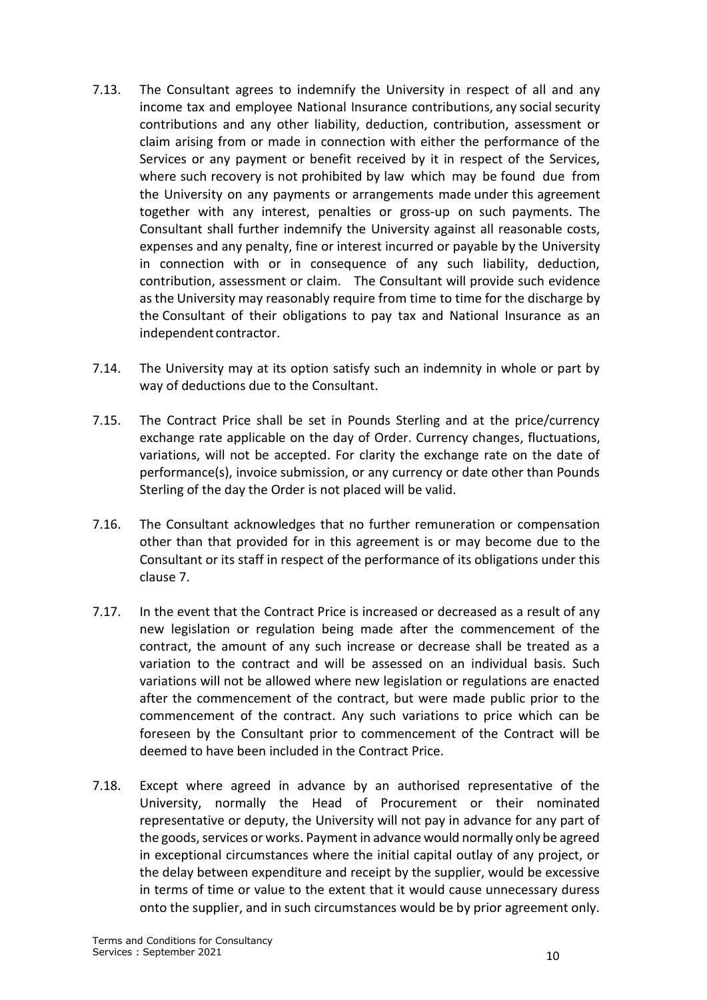- 7.13. The Consultant agrees to indemnify the University in respect of all and any income tax and employee National Insurance contributions, any social security contributions and any other liability, deduction, contribution, assessment or claim arising from or made in connection with either the performance of the Services or any payment or benefit received by it in respect of the Services, where such recovery is not prohibited by law which may be found due from the University on any payments or arrangements made under this agreement together with any interest, penalties or gross-up on such payments. The Consultant shall further indemnify the University against all reasonable costs, expenses and any penalty, fine or interest incurred or payable by the University in connection with or in consequence of any such liability, deduction, contribution, assessment or claim. The Consultant will provide such evidence as the University may reasonably require from time to time for the discharge by the Consultant of their obligations to pay tax and National Insurance as an independent contractor.
- 7.14. The University may at its option satisfy such an indemnity in whole or part by way of deductions due to the Consultant.
- 7.15. The Contract Price shall be set in Pounds Sterling and at the price/currency exchange rate applicable on the day of Order. Currency changes, fluctuations, variations, will not be accepted. For clarity the exchange rate on the date of performance(s), invoice submission, or any currency or date other than Pounds Sterling of the day the Order is not placed will be valid.
- 7.16. The Consultant acknowledges that no further remuneration or compensation other than that provided for in this agreement is or may become due to the Consultant or its staff in respect of the performance of its obligations under this clause 7.
- 7.17. In the event that the Contract Price is increased or decreased as a result of any new legislation or regulation being made after the commencement of the contract, the amount of any such increase or decrease shall be treated as a variation to the contract and will be assessed on an individual basis. Such variations will not be allowed where new legislation or regulations are enacted after the commencement of the contract, but were made public prior to the commencement of the contract. Any such variations to price which can be foreseen by the Consultant prior to commencement of the Contract will be deemed to have been included in the Contract Price.
- 7.18. Except where agreed in advance by an authorised representative of the University, normally the Head of Procurement or their nominated representative or deputy, the University will not pay in advance for any part of the goods, services or works. Payment in advance would normally only be agreed in exceptional circumstances where the initial capital outlay of any project, or the delay between expenditure and receipt by the supplier, would be excessive in terms of time or value to the extent that it would cause unnecessary duress onto the supplier, and in such circumstances would be by prior agreement only.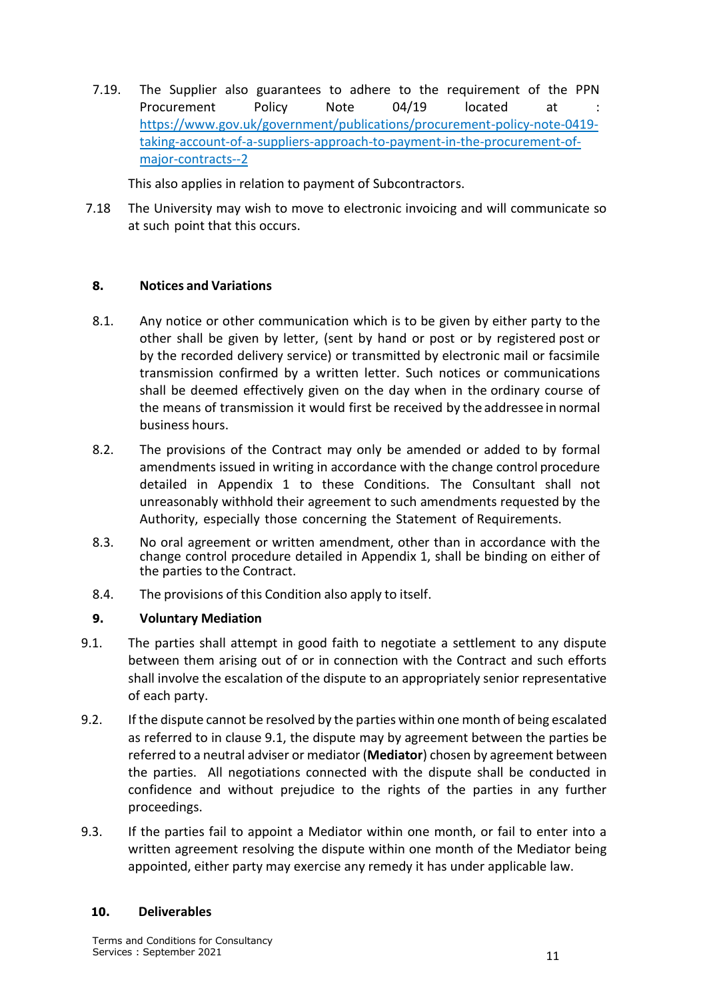7.19. The Supplier also guarantees to adhere to the requirement of the PPN Procurement Policy Note 04/19 located at [https://www.gov.uk/government/publications/procurement-policy-note-0419](https://www.gov.uk/government/publications/procurement-policy-note-0419-taking-account-of-a-suppliers-approach-to-payment-in-the-procurement-of-major-contracts--2) [taking-account-of-a-suppliers-approach-to-payment-in-the-procurement-of](https://www.gov.uk/government/publications/procurement-policy-note-0419-taking-account-of-a-suppliers-approach-to-payment-in-the-procurement-of-major-contracts--2)[major-contracts--2](https://www.gov.uk/government/publications/procurement-policy-note-0419-taking-account-of-a-suppliers-approach-to-payment-in-the-procurement-of-major-contracts--2)

This also applies in relation to payment of Subcontractors.

7.18 The University may wish to move to electronic invoicing and will communicate so at such point that this occurs.

#### <span id="page-10-0"></span>**8. Notices and Variations**

- 8.1. Any notice or other communication which is to be given by either party to the other shall be given by letter, (sent by hand or post or by registered post or by the recorded delivery service) or transmitted by electronic mail or facsimile transmission confirmed by a written letter. Such notices or communications shall be deemed effectively given on the day when in the ordinary course of the means of transmission it would first be received by the addressee in normal business hours.
- 8.2. The provisions of the Contract may only be amended or added to by formal amendments issued in writing in accordance with the change control procedure detailed in Appendix 1 to these Conditions. The Consultant shall not unreasonably withhold their agreement to such amendments requested by the Authority, especially those concerning the Statement of Requirements.
- 8.3. No oral agreement or written amendment, other than in accordance with the change control procedure detailed in Appendix 1, shall be binding on either of the parties to the Contract.
- 8.4. The provisions of this Condition also apply to itself.

### <span id="page-10-1"></span>**9. Voluntary Mediation**

- 9.1. The parties shall attempt in good faith to negotiate a settlement to any dispute between them arising out of or in connection with the Contract and such efforts shall involve the escalation of the dispute to an appropriately senior representative of each party.
- 9.2. If the dispute cannot be resolved by the parties within one month of being escalated as referred to in clause 9.1, the dispute may by agreement between the parties be referred to a neutral adviser or mediator (**Mediator**) chosen by agreement between the parties. All negotiations connected with the dispute shall be conducted in confidence and without prejudice to the rights of the parties in any further proceedings.
- 9.3. If the parties fail to appoint a Mediator within one month, or fail to enter into a written agreement resolving the dispute within one month of the Mediator being appointed, either party may exercise any remedy it has under applicable law.

#### <span id="page-10-2"></span>**10. Deliverables**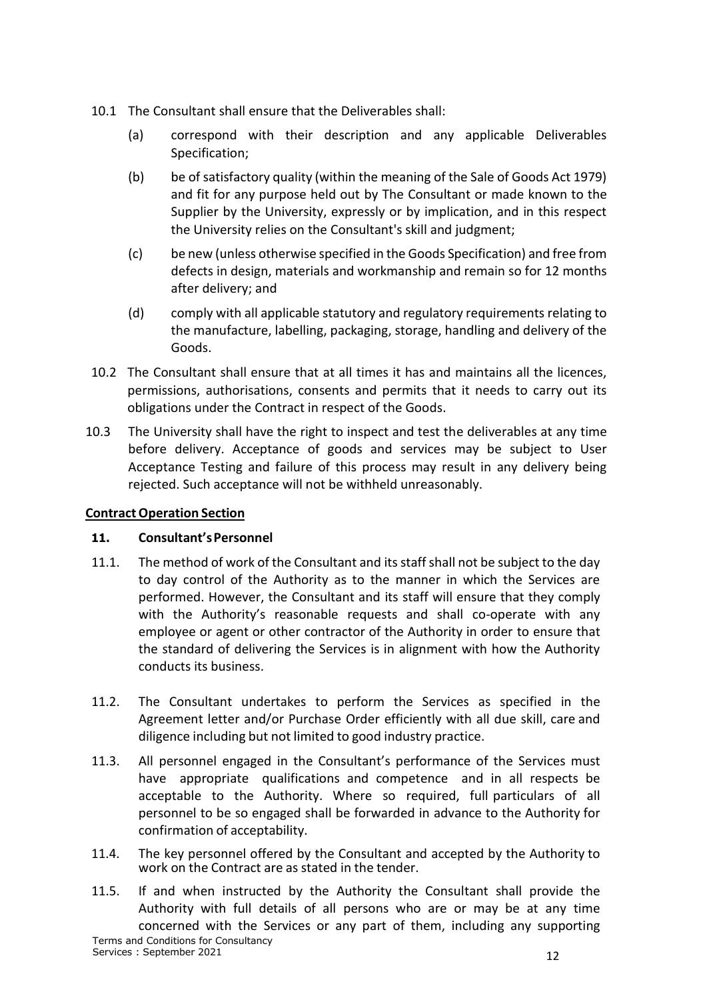- 10.1 The Consultant shall ensure that the Deliverables shall:
	- (a) correspond with their description and any applicable Deliverables Specification;
	- (b) be of satisfactory quality (within the meaning of the Sale of Goods Act 1979) and fit for any purpose held out by The Consultant or made known to the Supplier by the University, expressly or by implication, and in this respect the University relies on the Consultant's skill and judgment;
	- (c) be new (unless otherwise specified in the Goods Specification) and free from defects in design, materials and workmanship and remain so for 12 months after delivery; and
	- (d) comply with all applicable statutory and regulatory requirements relating to the manufacture, labelling, packaging, storage, handling and delivery of the Goods.
- 10.2 The Consultant shall ensure that at all times it has and maintains all the licences, permissions, authorisations, consents and permits that it needs to carry out its obligations under the Contract in respect of the Goods.
- 10.3 The University shall have the right to inspect and test the deliverables at any time before delivery. Acceptance of goods and services may be subject to User Acceptance Testing and failure of this process may result in any delivery being rejected. Such acceptance will not be withheld unreasonably.

### <span id="page-11-0"></span>**ContractOperation Section**

### <span id="page-11-1"></span>**11. Consultant'sPersonnel**

- 11.1. The method of work of the Consultant and itsstaff shall not be subject to the day to day control of the Authority as to the manner in which the Services are performed. However, the Consultant and its staff will ensure that they comply with the Authority's reasonable requests and shall co-operate with any employee or agent or other contractor of the Authority in order to ensure that the standard of delivering the Services is in alignment with how the Authority conducts its business.
- 11.2. The Consultant undertakes to perform the Services as specified in the Agreement letter and/or Purchase Order efficiently with all due skill, care and diligence including but not limited to good industry practice.
- 11.3. All personnel engaged in the Consultant's performance of the Services must have appropriate qualifications and competence and in all respects be acceptable to the Authority. Where so required, full particulars of all personnel to be so engaged shall be forwarded in advance to the Authority for confirmation of acceptability.
- 11.4. The key personnel offered by the Consultant and accepted by the Authority to work on the Contract are as stated in the tender.
- Terms and Conditions for Consultancy Services : September 2021 12 11.5. If and when instructed by the Authority the Consultant shall provide the Authority with full details of all persons who are or may be at any time concerned with the Services or any part of them, including any supporting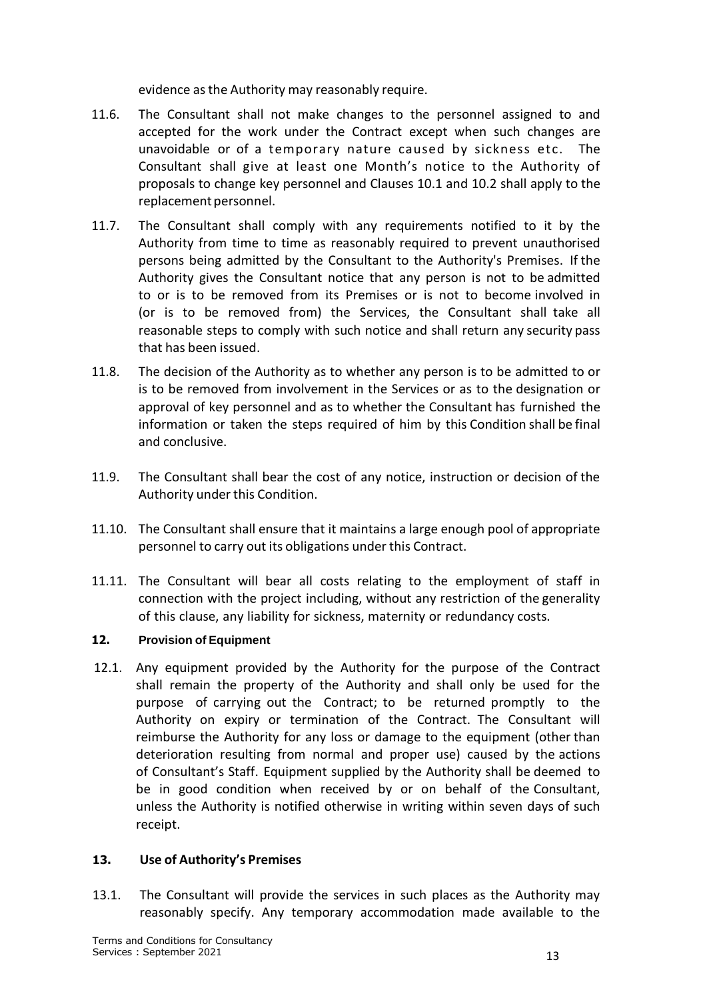evidence asthe Authority may reasonably require.

- 11.6. The Consultant shall not make changes to the personnel assigned to and accepted for the work under the Contract except when such changes are unavoidable or of a temporary nature caused by sickness etc. The Consultant shall give at least one Month's notice to the Authority of proposals to change key personnel and Clauses 10.1 and 10.2 shall apply to the replacement personnel.
- 11.7. The Consultant shall comply with any requirements notified to it by the Authority from time to time as reasonably required to prevent unauthorised persons being admitted by the Consultant to the Authority's Premises. If the Authority gives the Consultant notice that any person is not to be admitted to or is to be removed from its Premises or is not to become involved in (or is to be removed from) the Services, the Consultant shall take all reasonable steps to comply with such notice and shall return any security pass that has been issued.
- 11.8. The decision of the Authority as to whether any person is to be admitted to or is to be removed from involvement in the Services or as to the designation or approval of key personnel and as to whether the Consultant has furnished the information or taken the steps required of him by this Condition shall be final and conclusive.
- 11.9. The Consultant shall bear the cost of any notice, instruction or decision of the Authority under this Condition.
- 11.10. The Consultant shall ensure that it maintains a large enough pool of appropriate personnel to carry out its obligations under this Contract.
- 11.11. The Consultant will bear all costs relating to the employment of staff in connection with the project including, without any restriction of the generality of this clause, any liability for sickness, maternity or redundancy costs.

### <span id="page-12-0"></span>**12. Provision of Equipment**

12.1. Any equipment provided by the Authority for the purpose of the Contract shall remain the property of the Authority and shall only be used for the purpose of carrying out the Contract; to be returned promptly to the Authority on expiry or termination of the Contract. The Consultant will reimburse the Authority for any loss or damage to the equipment (other than deterioration resulting from normal and proper use) caused by the actions of Consultant's Staff. Equipment supplied by the Authority shall be deemed to be in good condition when received by or on behalf of the Consultant, unless the Authority is notified otherwise in writing within seven days of such receipt.

#### <span id="page-12-1"></span>**13. Use of Authority's Premises**

13.1. The Consultant will provide the services in such places as the Authority may reasonably specify. Any temporary accommodation made available to the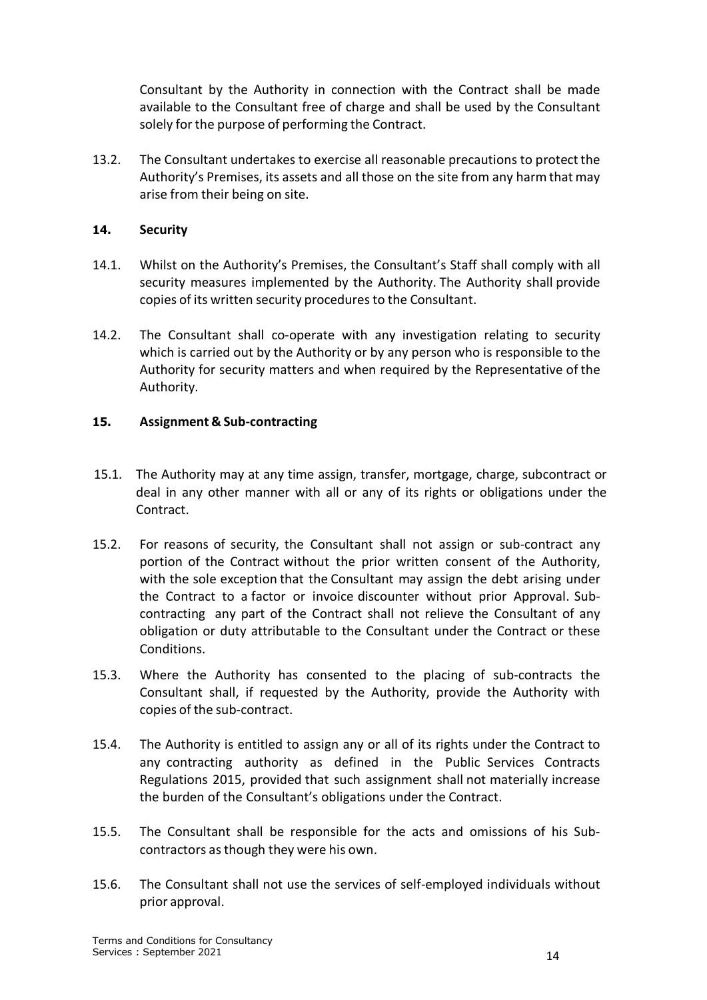Consultant by the Authority in connection with the Contract shall be made available to the Consultant free of charge and shall be used by the Consultant solely for the purpose of performing the Contract.

13.2. The Consultant undertakes to exercise all reasonable precautions to protect the Authority's Premises, its assets and all those on the site from any harm that may arise from their being on site.

#### <span id="page-13-0"></span>**14. Security**

- 14.1. Whilst on the Authority's Premises, the Consultant's Staff shall comply with all security measures implemented by the Authority. The Authority shall provide copies of its written security proceduresto the Consultant.
- 14.2. The Consultant shall co-operate with any investigation relating to security which is carried out by the Authority or by any person who is responsible to the Authority for security matters and when required by the Representative of the Authority.

#### <span id="page-13-1"></span>**15. Assignment & Sub-contracting**

- 15.1. The Authority may at any time assign, transfer, mortgage, charge, subcontract or deal in any other manner with all or any of its rights or obligations under the Contract.
- 15.2. For reasons of security, the Consultant shall not assign or sub-contract any portion of the Contract without the prior written consent of the Authority, with the sole exception that the Consultant may assign the debt arising under the Contract to a factor or invoice discounter without prior Approval. Subcontracting any part of the Contract shall not relieve the Consultant of any obligation or duty attributable to the Consultant under the Contract or these Conditions.
- 15.3. Where the Authority has consented to the placing of sub-contracts the Consultant shall, if requested by the Authority, provide the Authority with copies of the sub-contract.
- 15.4. The Authority is entitled to assign any or all of its rights under the Contract to any contracting authority as defined in the Public Services Contracts Regulations 2015, provided that such assignment shall not materially increase the burden of the Consultant's obligations under the Contract.
- 15.5. The Consultant shall be responsible for the acts and omissions of his Subcontractors as though they were his own.
- 15.6. The Consultant shall not use the services of self-employed individuals without prior approval.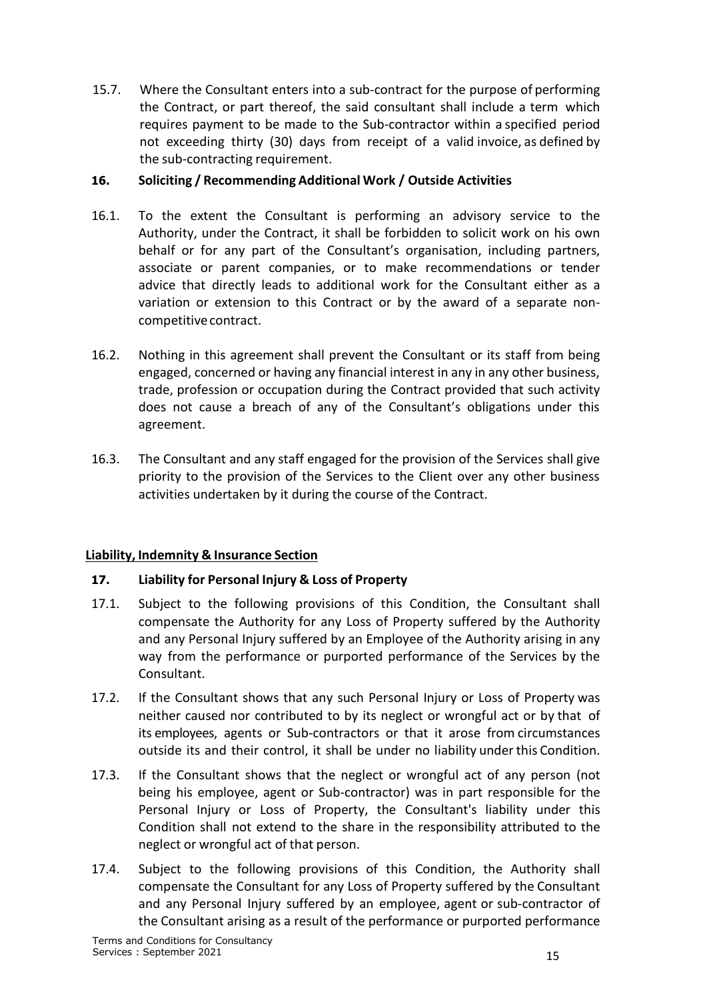15.7. Where the Consultant enters into a sub-contract for the purpose of performing the Contract, or part thereof, the said consultant shall include a term which requires payment to be made to the Sub-contractor within a specified period not exceeding thirty (30) days from receipt of a valid invoice, as defined by the sub-contracting requirement.

# <span id="page-14-0"></span>**16. Soliciting / Recommending Additional Work / Outside Activities**

- 16.1. To the extent the Consultant is performing an advisory service to the Authority, under the Contract, it shall be forbidden to solicit work on his own behalf or for any part of the Consultant's organisation, including partners, associate or parent companies, or to make recommendations or tender advice that directly leads to additional work for the Consultant either as a variation or extension to this Contract or by the award of a separate noncompetitive contract.
- 16.2. Nothing in this agreement shall prevent the Consultant or its staff from being engaged, concerned or having any financial interest in any in any other business, trade, profession or occupation during the Contract provided that such activity does not cause a breach of any of the Consultant's obligations under this agreement.
- 16.3. The Consultant and any staff engaged for the provision of the Services shall give priority to the provision of the Services to the Client over any other business activities undertaken by it during the course of the Contract.

### <span id="page-14-1"></span>**Liability, Indemnity & Insurance Section**

### **17. Liability for Personal Injury & Loss of Property**

- 17.1. Subject to the following provisions of this Condition, the Consultant shall compensate the Authority for any Loss of Property suffered by the Authority and any Personal Injury suffered by an Employee of the Authority arising in any way from the performance or purported performance of the Services by the Consultant.
- 17.2. If the Consultant shows that any such Personal Injury or Loss of Property was neither caused nor contributed to by its neglect or wrongful act or by that of its employees, agents or Sub-contractors or that it arose from circumstances outside its and their control, it shall be under no liability under this Condition.
- 17.3. If the Consultant shows that the neglect or wrongful act of any person (not being his employee, agent or Sub-contractor) was in part responsible for the Personal Injury or Loss of Property, the Consultant's liability under this Condition shall not extend to the share in the responsibility attributed to the neglect or wrongful act of that person.
- 17.4. Subject to the following provisions of this Condition, the Authority shall compensate the Consultant for any Loss of Property suffered by the Consultant and any Personal Injury suffered by an employee, agent or sub-contractor of the Consultant arising as a result of the performance or purported performance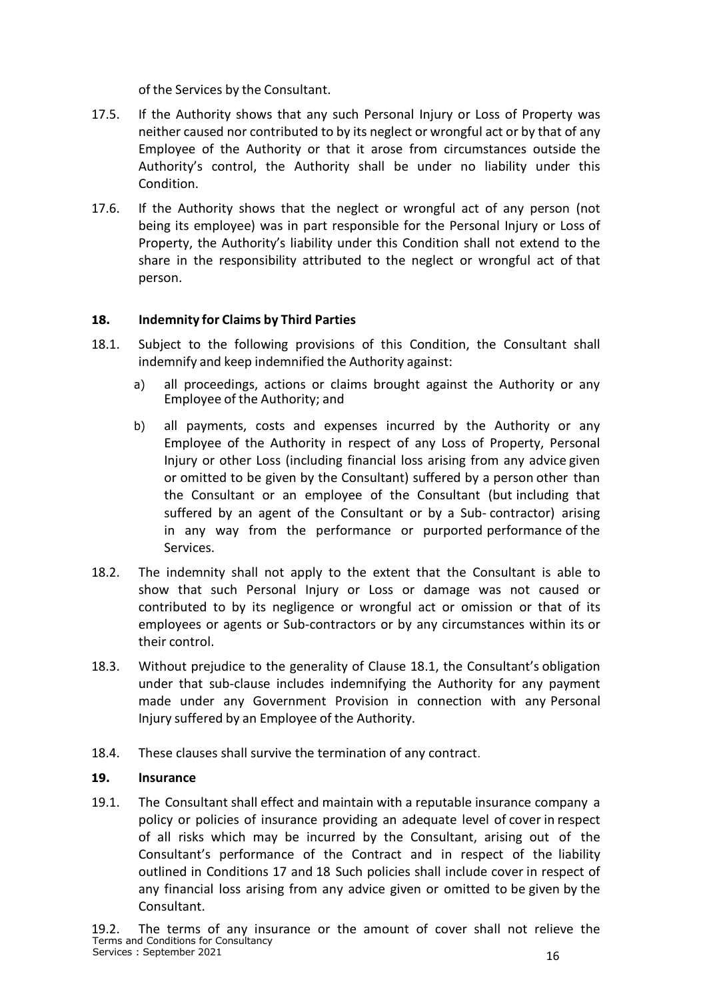of the Services by the Consultant.

- 17.5. If the Authority shows that any such Personal Injury or Loss of Property was neither caused nor contributed to by its neglect or wrongful act or by that of any Employee of the Authority or that it arose from circumstances outside the Authority's control, the Authority shall be under no liability under this Condition.
- 17.6. If the Authority shows that the neglect or wrongful act of any person (not being its employee) was in part responsible for the Personal Injury or Loss of Property, the Authority's liability under this Condition shall not extend to the share in the responsibility attributed to the neglect or wrongful act of that person.

#### <span id="page-15-0"></span>**18. Indemnity for Claims by Third Parties**

- 18.1. Subject to the following provisions of this Condition, the Consultant shall indemnify and keep indemnified the Authority against:
	- a) all proceedings, actions or claims brought against the Authority or any Employee of the Authority; and
	- b) all payments, costs and expenses incurred by the Authority or any Employee of the Authority in respect of any Loss of Property, Personal Injury or other Loss (including financial loss arising from any advice given or omitted to be given by the Consultant) suffered by a person other than the Consultant or an employee of the Consultant (but including that suffered by an agent of the Consultant or by a Sub- contractor) arising in any way from the performance or purported performance of the Services.
- 18.2. The indemnity shall not apply to the extent that the Consultant is able to show that such Personal Injury or Loss or damage was not caused or contributed to by its negligence or wrongful act or omission or that of its employees or agents or Sub-contractors or by any circumstances within its or their control.
- 18.3. Without prejudice to the generality of Clause 18.1, the Consultant's obligation under that sub-clause includes indemnifying the Authority for any payment made under any Government Provision in connection with any Personal Injury suffered by an Employee of the Authority.
- 18.4. These clauses shall survive the termination of any contract.

#### <span id="page-15-1"></span>**19. Insurance**

19.1. The Consultant shall effect and maintain with a reputable insurance company a policy or policies of insurance providing an adequate level of cover in respect of all risks which may be incurred by the Consultant, arising out of the Consultant's performance of the Contract and in respect of the liability outlined in Conditions 17 and 18 Such policies shall include cover in respect of any financial loss arising from any advice given or omitted to be given by the Consultant.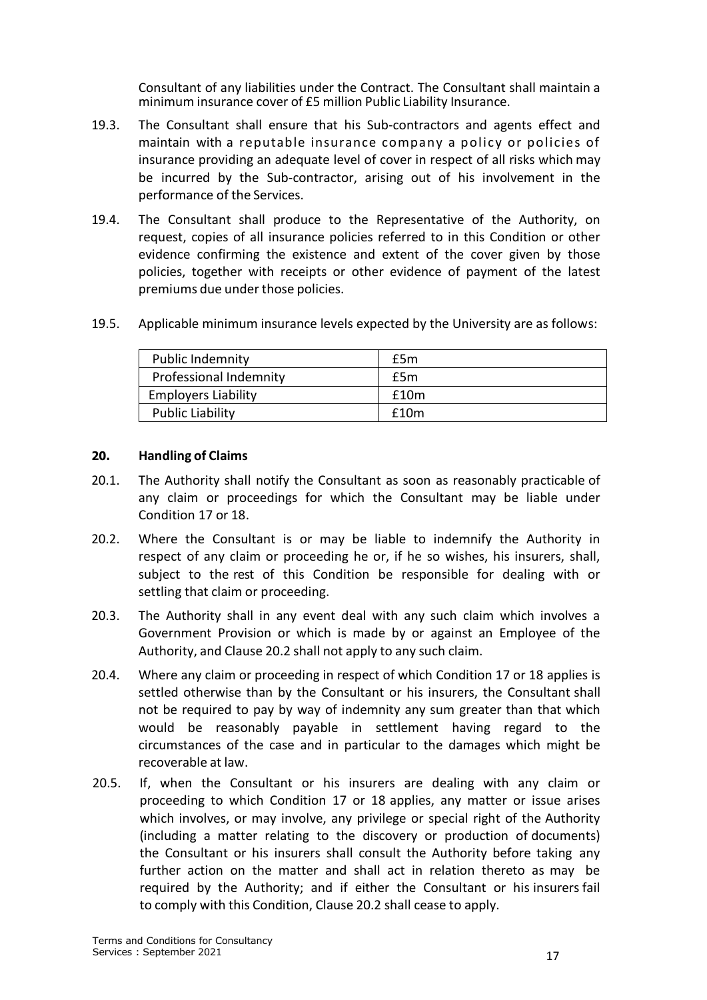Consultant of any liabilities under the Contract. The Consultant shall maintain a minimum insurance cover of £5 million Public Liability Insurance.

- 19.3. The Consultant shall ensure that his Sub-contractors and agents effect and maintain with a reputable insurance company a policy or policies of insurance providing an adequate level of cover in respect of all risks which may be incurred by the Sub-contractor, arising out of his involvement in the performance of the Services.
- 19.4. The Consultant shall produce to the Representative of the Authority, on request, copies of all insurance policies referred to in this Condition or other evidence confirming the existence and extent of the cover given by those policies, together with receipts or other evidence of payment of the latest premiums due under those policies.
- 19.5. Applicable minimum insurance levels expected by the University are as follows:

| <b>Public Indemnity</b>       | £5m  |
|-------------------------------|------|
| <b>Professional Indemnity</b> | £5m  |
| <b>Employers Liability</b>    | £10m |
| <b>Public Liability</b>       | £10m |

#### <span id="page-16-0"></span>**20. Handling of Claims**

- 20.1. The Authority shall notify the Consultant as soon as reasonably practicable of any claim or proceedings for which the Consultant may be liable under Condition 17 or 18.
- 20.2. Where the Consultant is or may be liable to indemnify the Authority in respect of any claim or proceeding he or, if he so wishes, his insurers, shall, subject to the rest of this Condition be responsible for dealing with or settling that claim or proceeding.
- 20.3. The Authority shall in any event deal with any such claim which involves a Government Provision or which is made by or against an Employee of the Authority, and Clause 20.2 shall not apply to any such claim.
- 20.4. Where any claim or proceeding in respect of which Condition 17 or 18 applies is settled otherwise than by the Consultant or his insurers, the Consultant shall not be required to pay by way of indemnity any sum greater than that which would be reasonably payable in settlement having regard to the circumstances of the case and in particular to the damages which might be recoverable at law.
- 20.5. If, when the Consultant or his insurers are dealing with any claim or proceeding to which Condition 17 or 18 applies, any matter or issue arises which involves, or may involve, any privilege or special right of the Authority (including a matter relating to the discovery or production of documents) the Consultant or his insurers shall consult the Authority before taking any further action on the matter and shall act in relation thereto as may be required by the Authority; and if either the Consultant or his insurers fail to comply with this Condition, Clause 20.2 shall cease to apply.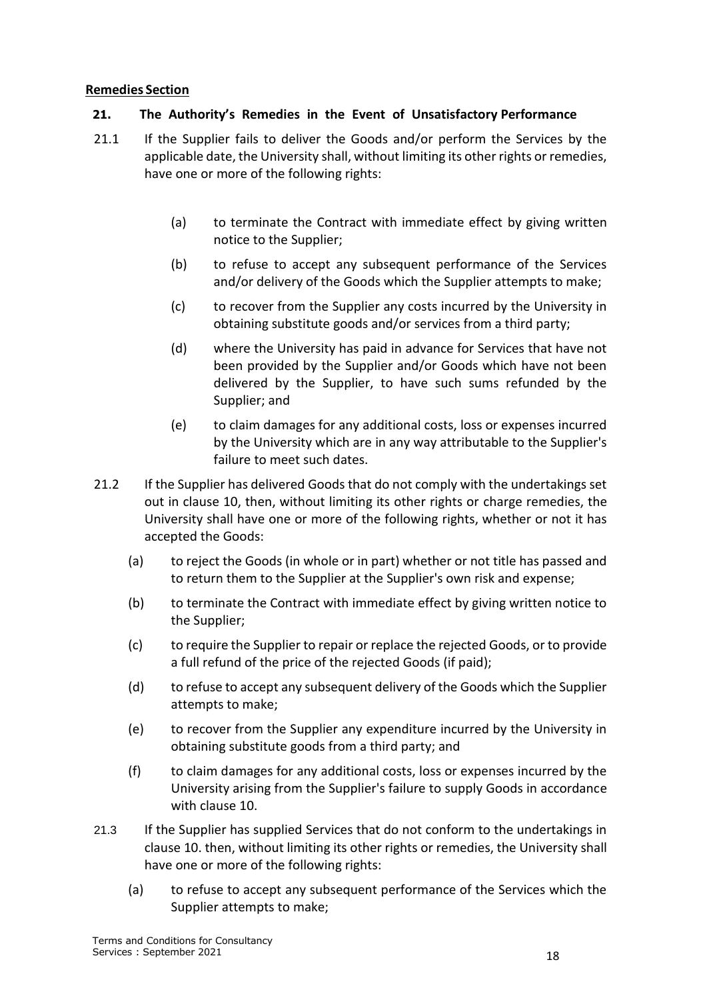#### <span id="page-17-0"></span>**Remedies Section**

#### **21. The Authority's Remedies in the Event of Unsatisfactory Performance**

- 21.1 If the Supplier fails to deliver the Goods and/or perform the Services by the applicable date, the University shall, without limiting its other rights or remedies, have one or more of the following rights:
	- (a) to terminate the Contract with immediate effect by giving written notice to the Supplier;
	- (b) to refuse to accept any subsequent performance of the Services and/or delivery of the Goods which the Supplier attempts to make;
	- (c) to recover from the Supplier any costs incurred by the University in obtaining substitute goods and/or services from a third party;
	- (d) where the University has paid in advance for Services that have not been provided by the Supplier and/or Goods which have not been delivered by the Supplier, to have such sums refunded by the Supplier; and
	- (e) to claim damages for any additional costs, loss or expenses incurred by the University which are in any way attributable to the Supplier's failure to meet such dates.
- 21.2 If the Supplier has delivered Goods that do not comply with the undertakings set out in clause [10,](#page-10-2) then, without limiting its other rights or charge remedies, the University shall have one or more of the following rights, whether or not it has accepted the Goods:
	- (a) to reject the Goods (in whole or in part) whether or not title has passed and to return them to the Supplier at the Supplier's own risk and expense;
	- (b) to terminate the Contract with immediate effect by giving written notice to the Supplier;
	- (c) to require the Supplier to repair or replace the rejected Goods, or to provide a full refund of the price of the rejected Goods (if paid);
	- (d) to refuse to accept any subsequent delivery of the Goods which the Supplier attempts to make;
	- (e) to recover from the Supplier any expenditure incurred by the University in obtaining substitute goods from a third party; and
	- (f) to claim damages for any additional costs, loss or expenses incurred by the University arising from the Supplier's failure to supply Goods in accordance with claus[e 10.](#page-10-2)
- 21.3 If the Supplier has supplied Services that do not conform to the undertakings in clause 10. then, without limiting its other rights or remedies, the University shall have one or more of the following rights:
	- (a) to refuse to accept any subsequent performance of the Services which the Supplier attempts to make;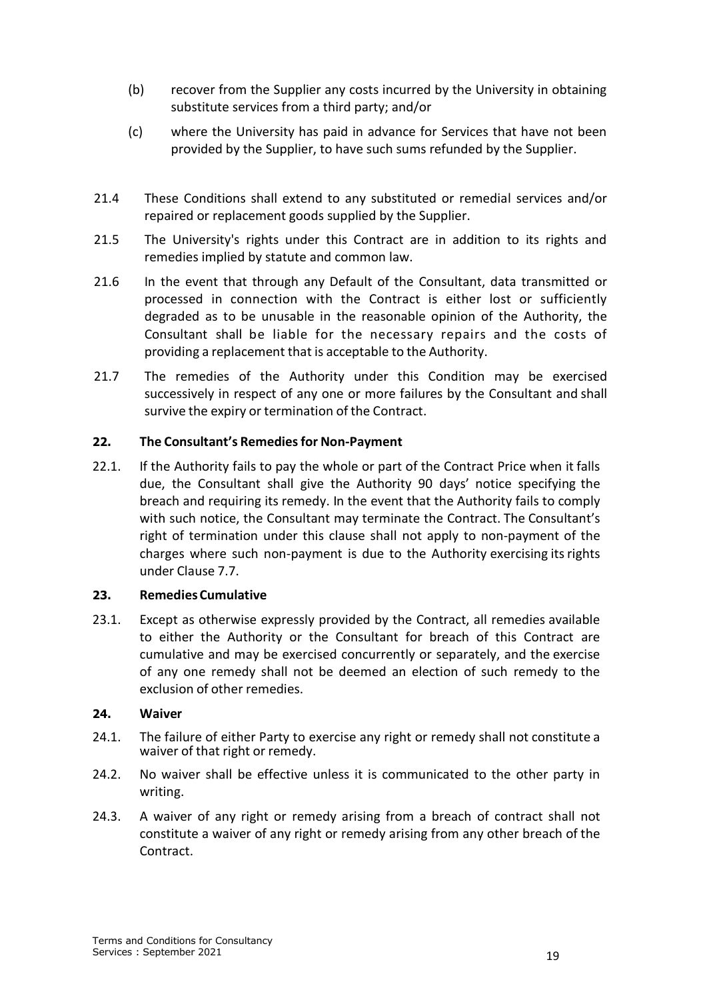- (b) recover from the Supplier any costs incurred by the University in obtaining substitute services from a third party; and/or
- (c) where the University has paid in advance for Services that have not been provided by the Supplier, to have such sums refunded by the Supplier.
- 21.4 These Conditions shall extend to any substituted or remedial services and/or repaired or replacement goods supplied by the Supplier.
- 21.5 The University's rights under this Contract are in addition to its rights and remedies implied by statute and common law.
- 21.6 In the event that through any Default of the Consultant, data transmitted or processed in connection with the Contract is either lost or sufficiently degraded as to be unusable in the reasonable opinion of the Authority, the Consultant shall be liable for the necessary repairs and the costs of providing a replacement that is acceptable to the Authority.
- 21.7 The remedies of the Authority under this Condition may be exercised successively in respect of any one or more failures by the Consultant and shall survive the expiry or termination of the Contract.

### <span id="page-18-0"></span>**22. The Consultant's Remediesfor Non-Payment**

22.1. If the Authority fails to pay the whole or part of the Contract Price when it falls due, the Consultant shall give the Authority 90 days' notice specifying the breach and requiring its remedy. In the event that the Authority fails to comply with such notice, the Consultant may terminate the Contract. The Consultant's right of termination under this clause shall not apply to non-payment of the charges where such non-payment is due to the Authority exercising itsrights under Clause 7.7.

#### <span id="page-18-1"></span>**23. RemediesCumulative**

23.1. Except as otherwise expressly provided by the Contract, all remedies available to either the Authority or the Consultant for breach of this Contract are cumulative and may be exercised concurrently or separately, and the exercise of any one remedy shall not be deemed an election of such remedy to the exclusion of other remedies.

#### <span id="page-18-2"></span>**24. Waiver**

- 24.1. The failure of either Party to exercise any right or remedy shall not constitute a waiver of that right or remedy.
- 24.2. No waiver shall be effective unless it is communicated to the other party in writing.
- 24.3. A waiver of any right or remedy arising from a breach of contract shall not constitute a waiver of any right or remedy arising from any other breach of the Contract.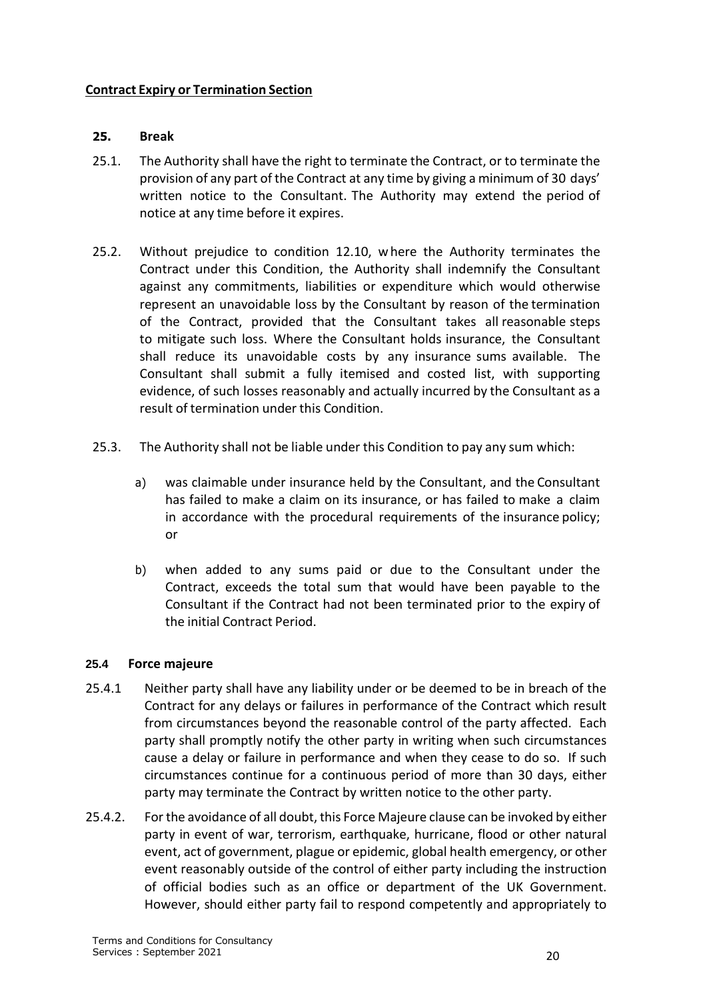#### <span id="page-19-0"></span>**Contract Expiry or Termination Section**

#### <span id="page-19-1"></span>**25. Break**

- 25.1. The Authority shall have the right to terminate the Contract, or to terminate the provision of any part of the Contract at any time by giving a minimum of 30 days' written notice to the Consultant. The Authority may extend the period of notice at any time before it expires.
- 25.2. Without prejudice to condition 12.10, where the Authority terminates the Contract under this Condition, the Authority shall indemnify the Consultant against any commitments, liabilities or expenditure which would otherwise represent an unavoidable loss by the Consultant by reason of the termination of the Contract, provided that the Consultant takes all reasonable steps to mitigate such loss. Where the Consultant holds insurance, the Consultant shall reduce its unavoidable costs by any insurance sums available. The Consultant shall submit a fully itemised and costed list, with supporting evidence, of such losses reasonably and actually incurred by the Consultant as a result of termination under this Condition.
- 25.3. The Authority shall not be liable under this Condition to pay any sum which:
	- a) was claimable under insurance held by the Consultant, and the Consultant has failed to make a claim on its insurance, or has failed to make a claim in accordance with the procedural requirements of the insurance policy; or
	- b) when added to any sums paid or due to the Consultant under the Contract, exceeds the total sum that would have been payable to the Consultant if the Contract had not been terminated prior to the expiry of the initial Contract Period.

#### **25.4 Force majeure**

- 25.4.1 Neither party shall have any liability under or be deemed to be in breach of the Contract for any delays or failures in performance of the Contract which result from circumstances beyond the reasonable control of the party affected. Each party shall promptly notify the other party in writing when such circumstances cause a delay or failure in performance and when they cease to do so. If such circumstances continue for a continuous period of more than 30 days, either party may terminate the Contract by written notice to the other party.
- 25.4.2. For the avoidance of all doubt, this Force Majeure clause can be invoked by either party in event of war, terrorism, earthquake, hurricane, flood or other natural event, act of government, plague or epidemic, global health emergency, or other event reasonably outside of the control of either party including the instruction of official bodies such as an office or department of the UK Government. However, should either party fail to respond competently and appropriately to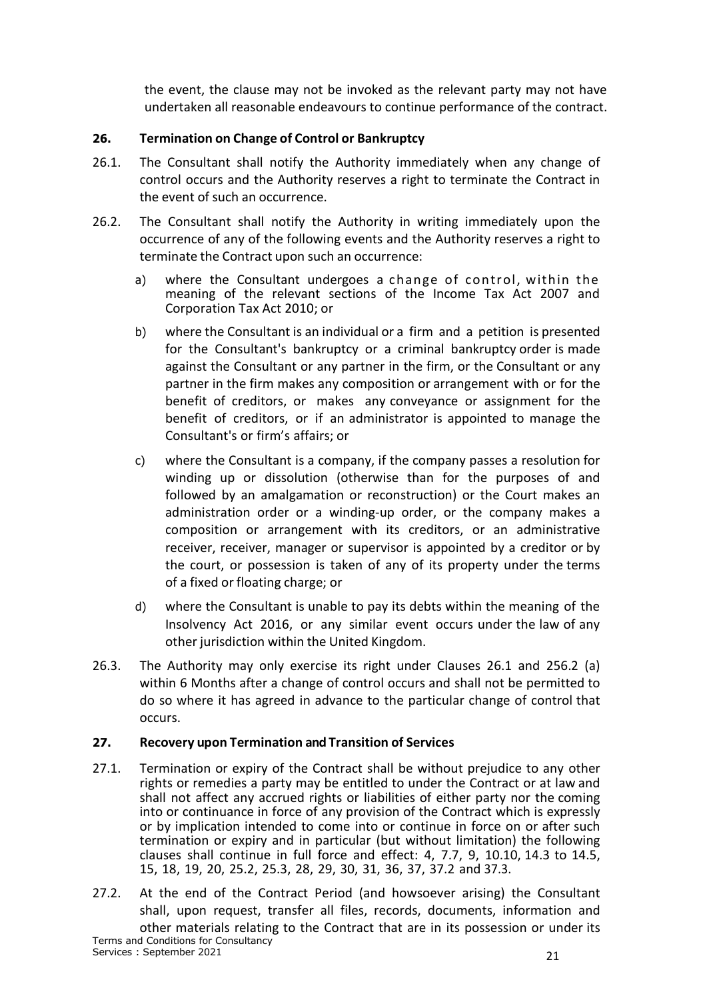the event, the clause may not be invoked as the relevant party may not have undertaken all reasonable endeavours to continue performance of the contract.

# <span id="page-20-0"></span>**26. Termination on Change of Control or Bankruptcy**

- 26.1. The Consultant shall notify the Authority immediately when any change of control occurs and the Authority reserves a right to terminate the Contract in the event of such an occurrence.
- 26.2. The Consultant shall notify the Authority in writing immediately upon the occurrence of any of the following events and the Authority reserves a right to terminate the Contract upon such an occurrence:
	- a) where the Consultant undergoes a change of control, within the meaning of the relevant sections of the Income Tax Act 2007 and Corporation Tax Act 2010; or
	- b) where the Consultant is an individual or a firm and a petition is presented for the Consultant's bankruptcy or a criminal bankruptcy order is made against the Consultant or any partner in the firm, or the Consultant or any partner in the firm makes any composition or arrangement with or for the benefit of creditors, or makes any conveyance or assignment for the benefit of creditors, or if an administrator is appointed to manage the Consultant's or firm's affairs; or
	- c) where the Consultant is a company, if the company passes a resolution for winding up or dissolution (otherwise than for the purposes of and followed by an amalgamation or reconstruction) or the Court makes an administration order or a winding-up order, or the company makes a composition or arrangement with its creditors, or an administrative receiver, receiver, manager or supervisor is appointed by a creditor or by the court, or possession is taken of any of its property under the terms of a fixed or floating charge; or
	- d) where the Consultant is unable to pay its debts within the meaning of the Insolvency Act 2016, or any similar event occurs under the law of any other jurisdiction within the United Kingdom.
- 26.3. The Authority may only exercise its right under Clauses 26.1 and 256.2 (a) within 6 Months after a change of control occurs and shall not be permitted to do so where it has agreed in advance to the particular change of control that occurs.

### <span id="page-20-1"></span>**27. Recovery upon Termination and Transition of Services**

- 27.1. Termination or expiry of the Contract shall be without prejudice to any other rights or remedies a party may be entitled to under the Contract or at law and shall not affect any accrued rights or liabilities of either party nor the coming into or continuance in force of any provision of the Contract which is expressly or by implication intended to come into or continue in force on or after such termination or expiry and in particular (but without limitation) the following clauses shall continue in full force and effect: 4, 7.7, 9, 10.10, 14.3 to 14.5, 15, 18, 19, 20, 25.2, 25.3, 28, 29, 30, 31, 36, 37, 37.2 and 37.3.
- Terms and Conditions for Consultancy Services : September 2021 21 27.2. At the end of the Contract Period (and howsoever arising) the Consultant shall, upon request, transfer all files, records, documents, information and other materials relating to the Contract that are in its possession or under its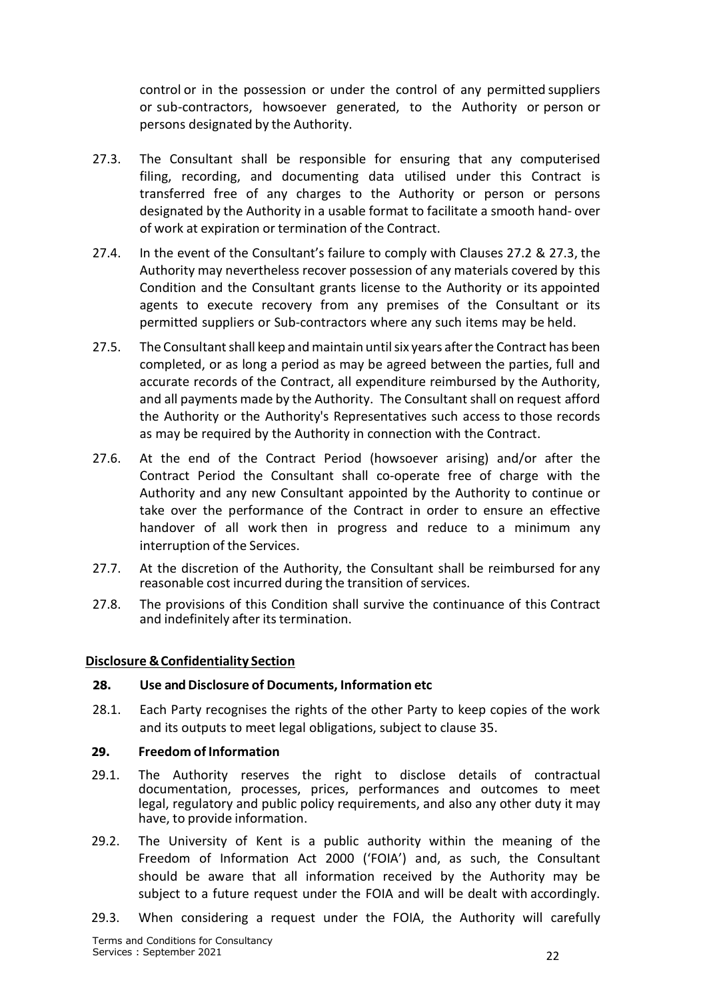control or in the possession or under the control of any permitted suppliers or sub-contractors, howsoever generated, to the Authority or person or persons designated by the Authority.

- 27.3. The Consultant shall be responsible for ensuring that any computerised filing, recording, and documenting data utilised under this Contract is transferred free of any charges to the Authority or person or persons designated by the Authority in a usable format to facilitate a smooth hand- over of work at expiration or termination of the Contract.
- 27.4. In the event of the Consultant's failure to comply with Clauses 27.2 & 27.3, the Authority may nevertheless recover possession of any materials covered by this Condition and the Consultant grants license to the Authority or its appointed agents to execute recovery from any premises of the Consultant or its permitted suppliers or Sub-contractors where any such items may be held.
- 27.5. The Consultant shall keep and maintain until six years after the Contract has been completed, or as long a period as may be agreed between the parties, full and accurate records of the Contract, all expenditure reimbursed by the Authority, and all payments made by the Authority. The Consultant shall on request afford the Authority or the Authority's Representatives such access to those records as may be required by the Authority in connection with the Contract.
- 27.6. At the end of the Contract Period (howsoever arising) and/or after the Contract Period the Consultant shall co-operate free of charge with the Authority and any new Consultant appointed by the Authority to continue or take over the performance of the Contract in order to ensure an effective handover of all work then in progress and reduce to a minimum any interruption of the Services.
- 27.7. At the discretion of the Authority, the Consultant shall be reimbursed for any reasonable cost incurred during the transition of services.
- 27.8. The provisions of this Condition shall survive the continuance of this Contract and indefinitely after its termination.

#### <span id="page-21-0"></span>**Disclosure &Confidentiality Section**

#### **28. Use andDisclosure of Documents, Information etc**

28.1. Each Party recognises the rights of the other Party to keep copies of the work and its outputs to meet legal obligations, subject to clause 35.

#### <span id="page-21-1"></span>**29. Freedom of Information**

- 29.1. The Authority reserves the right to disclose details of contractual documentation, processes, prices, performances and outcomes to meet legal, regulatory and public policy requirements, and also any other duty it may have, to provide information.
- 29.2. The University of Kent is a public authority within the meaning of the Freedom of Information Act 2000 ('FOIA') and, as such, the Consultant should be aware that all information received by the Authority may be subject to a future request under the FOIA and will be dealt with accordingly.
- 29.3. When considering a request under the FOIA, the Authority will carefully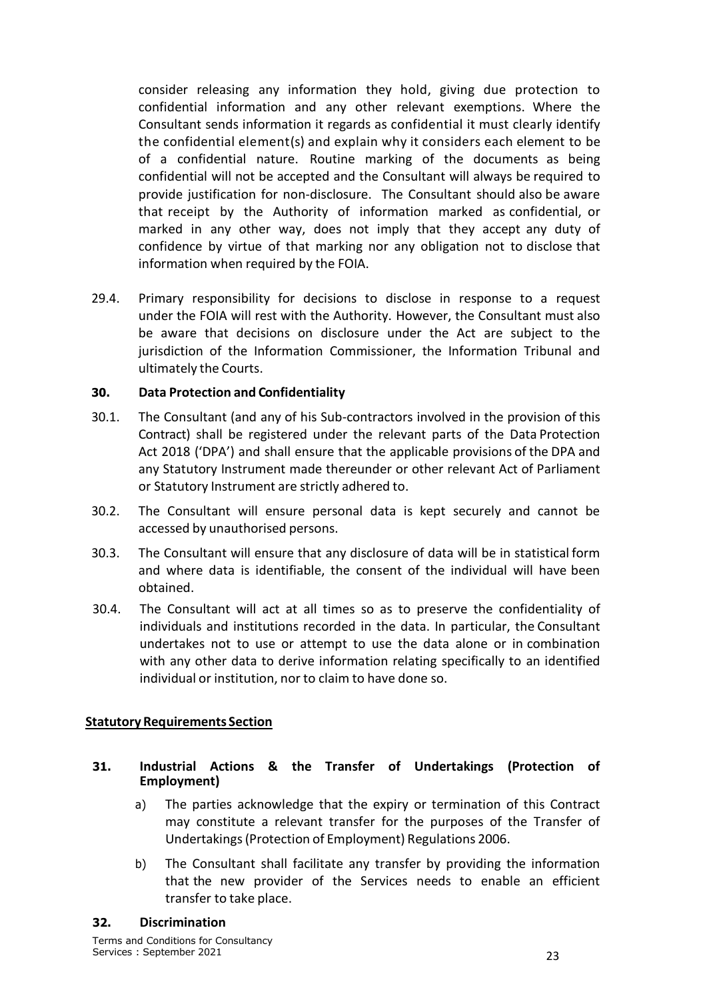consider releasing any information they hold, giving due protection to confidential information and any other relevant exemptions. Where the Consultant sends information it regards as confidential it must clearly identify the confidential element(s) and explain why it considers each element to be of a confidential nature. Routine marking of the documents as being confidential will not be accepted and the Consultant will always be required to provide justification for non-disclosure. The Consultant should also be aware that receipt by the Authority of information marked as confidential, or marked in any other way, does not imply that they accept any duty of confidence by virtue of that marking nor any obligation not to disclose that information when required by the FOIA.

29.4. Primary responsibility for decisions to disclose in response to a request under the FOIA will rest with the Authority. However, the Consultant must also be aware that decisions on disclosure under the Act are subject to the jurisdiction of the Information Commissioner, the Information Tribunal and ultimately the Courts.

### <span id="page-22-0"></span>**30. Data Protection and Confidentiality**

- 30.1. The Consultant (and any of his Sub-contractors involved in the provision of this Contract) shall be registered under the relevant parts of the Data Protection Act 2018 ('DPA') and shall ensure that the applicable provisions of the DPA and any Statutory Instrument made thereunder or other relevant Act of Parliament or Statutory Instrument are strictly adhered to.
- 30.2. The Consultant will ensure personal data is kept securely and cannot be accessed by unauthorised persons.
- 30.3. The Consultant will ensure that any disclosure of data will be in statistical form and where data is identifiable, the consent of the individual will have been obtained.
- 30.4. The Consultant will act at all times so as to preserve the confidentiality of individuals and institutions recorded in the data. In particular, the Consultant undertakes not to use or attempt to use the data alone or in combination with any other data to derive information relating specifically to an identified individual or institution, nor to claim to have done so.

#### <span id="page-22-1"></span>**Statutory Requirements Section**

- <span id="page-22-2"></span>**31. Industrial Actions & the Transfer of Undertakings (Protection of Employment)**
	- a) The parties acknowledge that the expiry or termination of this Contract may constitute a relevant transfer for the purposes of the Transfer of Undertakings(Protection of Employment) Regulations 2006.
	- b) The Consultant shall facilitate any transfer by providing the information that the new provider of the Services needs to enable an efficient transfer to take place.

#### <span id="page-22-3"></span>**32. Discrimination**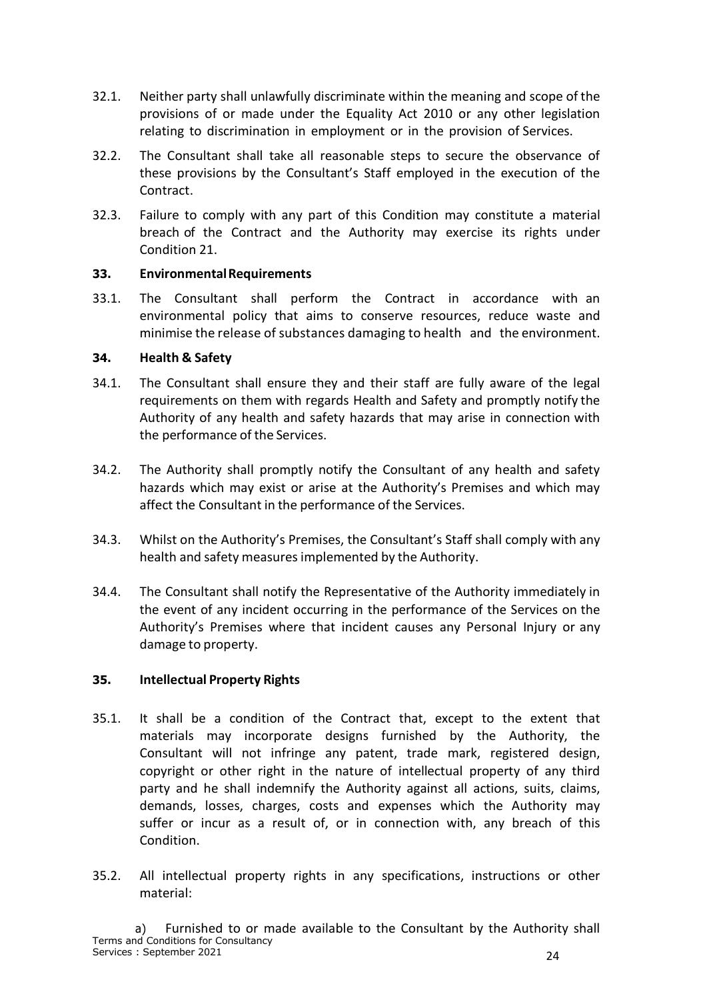- 32.1. Neither party shall unlawfully discriminate within the meaning and scope of the provisions of or made under the Equality Act 2010 or any other legislation relating to discrimination in employment or in the provision of Services.
- 32.2. The Consultant shall take all reasonable steps to secure the observance of these provisions by the Consultant's Staff employed in the execution of the Contract.
- 32.3. Failure to comply with any part of this Condition may constitute a material breach of the Contract and the Authority may exercise its rights under Condition 21.

#### <span id="page-23-0"></span>**33. EnvironmentalRequirements**

33.1. The Consultant shall perform the Contract in accordance with an environmental policy that aims to conserve resources, reduce waste and minimise the release of substances damaging to health and the environment.

#### <span id="page-23-1"></span>**34. Health & Safety**

- 34.1. The Consultant shall ensure they and their staff are fully aware of the legal requirements on them with regards Health and Safety and promptly notify the Authority of any health and safety hazards that may arise in connection with the performance of the Services.
- 34.2. The Authority shall promptly notify the Consultant of any health and safety hazards which may exist or arise at the Authority's Premises and which may affect the Consultant in the performance of the Services.
- 34.3. Whilst on the Authority's Premises, the Consultant's Staff shall comply with any health and safety measures implemented by the Authority.
- 34.4. The Consultant shall notify the Representative of the Authority immediately in the event of any incident occurring in the performance of the Services on the Authority's Premises where that incident causes any Personal Injury or any damage to property.

#### <span id="page-23-2"></span>**35. Intellectual Property Rights**

- 35.1. It shall be a condition of the Contract that, except to the extent that materials may incorporate designs furnished by the Authority, the Consultant will not infringe any patent, trade mark, registered design, copyright or other right in the nature of intellectual property of any third party and he shall indemnify the Authority against all actions, suits, claims, demands, losses, charges, costs and expenses which the Authority may suffer or incur as a result of, or in connection with, any breach of this Condition.
- 35.2. All intellectual property rights in any specifications, instructions or other material: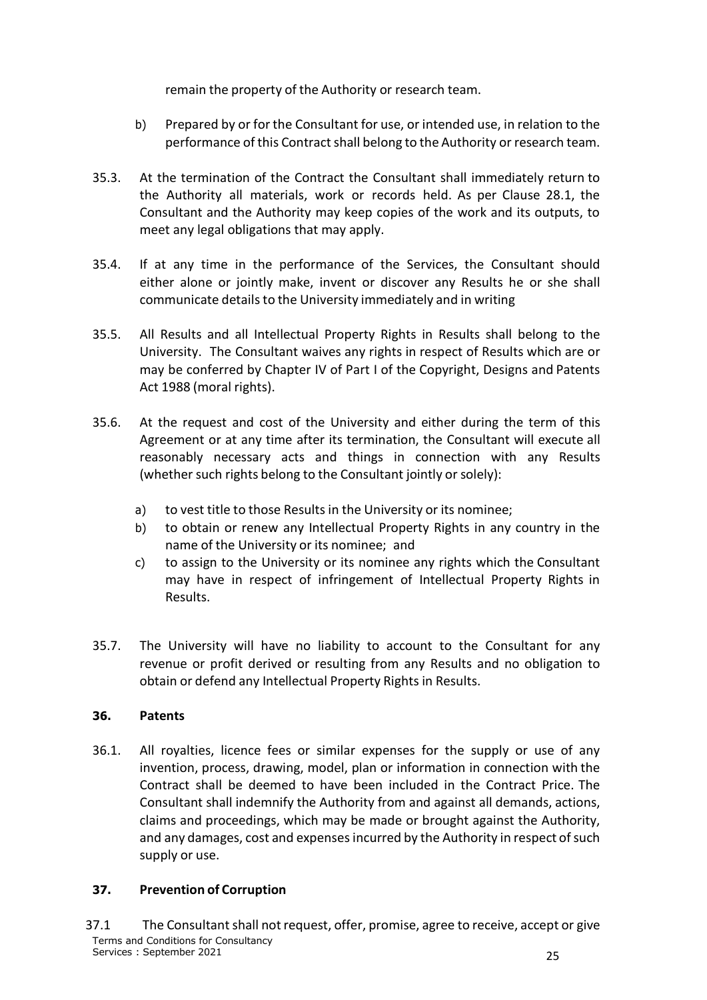remain the property of the Authority or research team.

- b) Prepared by or for the Consultant for use, or intended use, in relation to the performance of this Contract shall belong to the Authority or research team.
- 35.3. At the termination of the Contract the Consultant shall immediately return to the Authority all materials, work or records held. As per Clause 28.1, the Consultant and the Authority may keep copies of the work and its outputs, to meet any legal obligations that may apply.
- 35.4. If at any time in the performance of the Services, the Consultant should either alone or jointly make, invent or discover any Results he or she shall communicate details to the University immediately and in writing
- 35.5. All Results and all Intellectual Property Rights in Results shall belong to the University. The Consultant waives any rights in respect of Results which are or may be conferred by Chapter IV of Part I of the Copyright, Designs and Patents Act 1988 (moral rights).
- 35.6. At the request and cost of the University and either during the term of this Agreement or at any time after its termination, the Consultant will execute all reasonably necessary acts and things in connection with any Results (whether such rights belong to the Consultant jointly or solely):
	- a) to vest title to those Results in the University or its nominee;
	- b) to obtain or renew any Intellectual Property Rights in any country in the name of the University or its nominee; and
	- c) to assign to the University or its nominee any rights which the Consultant may have in respect of infringement of Intellectual Property Rights in Results.
- 35.7. The University will have no liability to account to the Consultant for any revenue or profit derived or resulting from any Results and no obligation to obtain or defend any Intellectual Property Rights in Results.

### <span id="page-24-0"></span>**36. Patents**

36.1. All royalties, licence fees or similar expenses for the supply or use of any invention, process, drawing, model, plan or information in connection with the Contract shall be deemed to have been included in the Contract Price. The Consultant shall indemnify the Authority from and against all demands, actions, claims and proceedings, which may be made or brought against the Authority, and any damages, cost and expenses incurred by the Authority in respect of such supply or use.

### <span id="page-24-1"></span>**37. Prevention of Corruption**

Terms and Conditions for Consultancy Services : September 2021 25 37.1 The Consultant shall not request, offer, promise, agree to receive, accept or give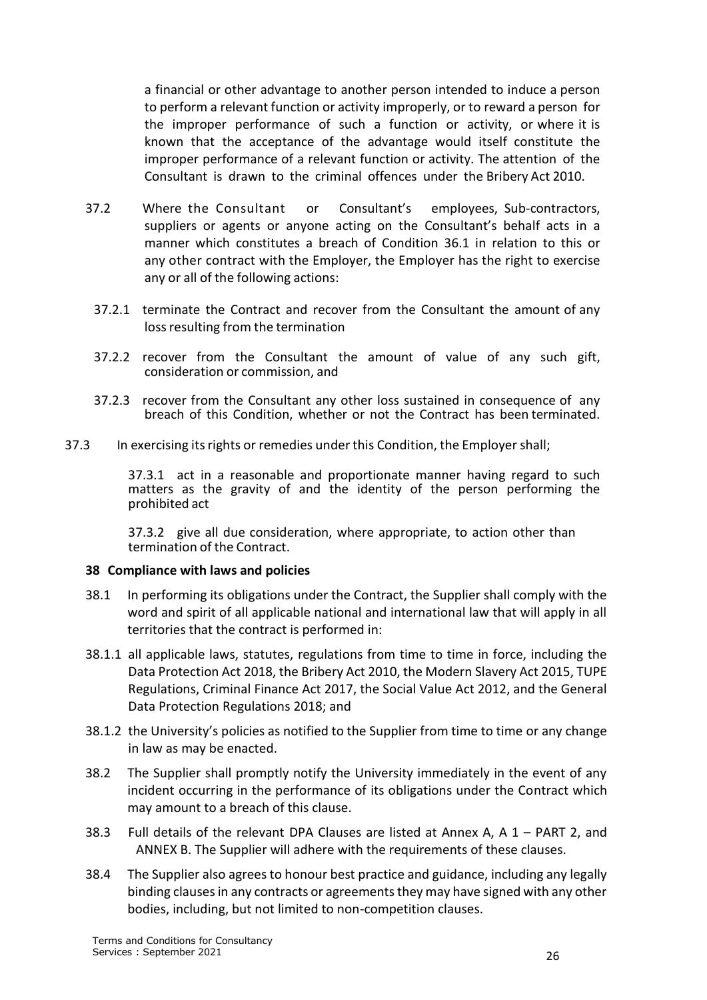a financial or other advantage to another person intended to induce a person to perform a relevant function or activity improperly, or to reward a person for the improper performance of such a function or activity, or where it is known that the acceptance of the advantage would itself constitute the improper performance of a relevant function or activity. The attention of the Consultant is drawn to the criminal offences under the Bribery Act 2010.

- 37.2 Where the Consultant or Consultant's employees, Sub-contractors, suppliers or agents or anyone acting on the Consultant's behalf acts in a manner which constitutes a breach of Condition 36.1 in relation to this or any other contract with the Employer, the Employer has the right to exercise any or all of the following actions:
	- 37.2.1 terminate the Contract and recover from the Consultant the amount of any loss resulting from the termination
	- 37.2.2 recover from the Consultant the amount of value of any such gift, consideration or commission, and
	- 37.2.3 recover from the Consultant any other loss sustained in consequence of any breach of this Condition, whether or not the Contract has been terminated.
- 37.3 In exercising itsrights or remedies under this Condition, the Employer shall;

37.3.1 act in a reasonable and proportionate manner having regard to such matters as the gravity of and the identity of the person performing the prohibited act

37.3.2 give all due consideration, where appropriate, to action other than termination of the Contract.

#### **38 Compliance with laws and policies**

- 38.1 In performing its obligations under the Contract, the Supplier shall comply with the word and spirit of all applicable national and international law that will apply in all territories that the contract is performed in:
- 38.1.1 all applicable laws, statutes, regulations from time to time in force, including the Data Protection Act 2018, the Bribery Act 2010, the Modern Slavery Act 2015, TUPE Regulations, Criminal Finance Act 2017, the Social Value Act 2012, and the General Data Protection Regulations 2018; and
- 38.1.2 the University's policies as notified to the Supplier from time to time or any change in law as may be enacted.
- 38.2 The Supplier shall promptly notify the University immediately in the event of any incident occurring in the performance of its obligations under the Contract which may amount to a breach of this clause.
- 38.3 Full details of the relevant DPA Clauses are listed at Annex A, A 1 PART 2, and ANNEX B. The Supplier will adhere with the requirements of these clauses.
- 38.4 The Supplier also agrees to honour best practice and guidance, including any legally binding clauses in any contracts or agreements they may have signed with any other bodies, including, but not limited to non-competition clauses.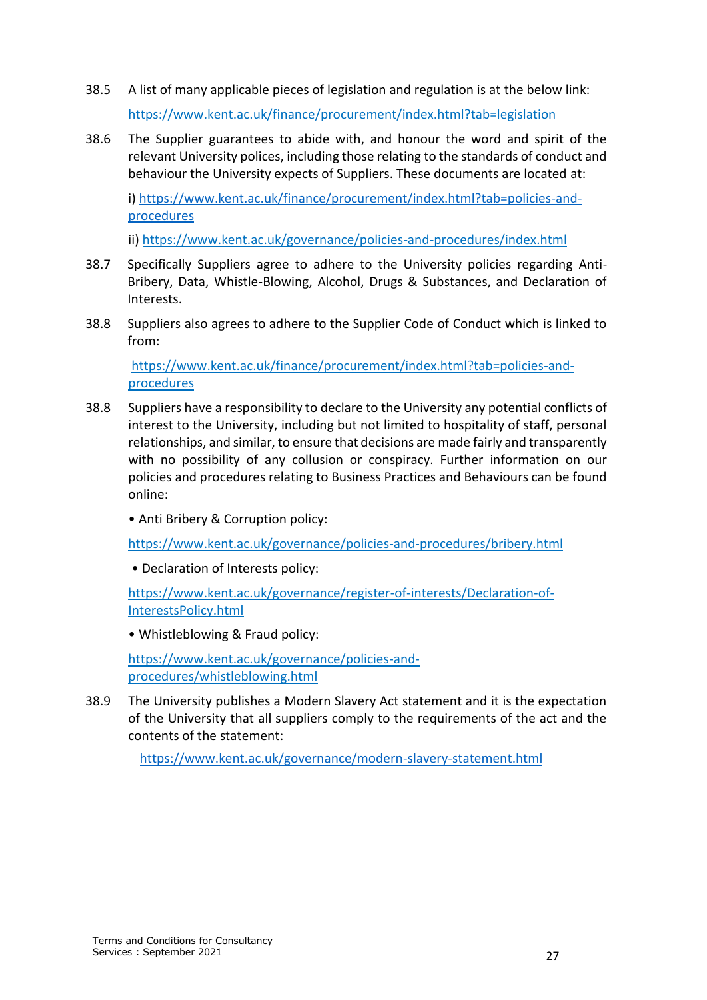- 38.5 A list of many applicable pieces of legislation and regulation is at the below link: https://www.kent.ac.uk/finance/procurement/index.html?tab=legislation
- 38.6 The Supplier guarantees to abide with, and honour the word and spirit of the relevant University polices, including those relating to the standards of conduct and behaviour the University expects of Suppliers. These documents are located at:

i) https://www.kent.ac.uk/finance/procurement/index.html?tab=policies-andprocedures

ii) https://www.kent.ac.uk/governance/policies-and-procedures/index.html

- 38.7 Specifically Suppliers agree to adhere to the University policies regarding Anti-Bribery, Data, Whistle-Blowing, Alcohol, Drugs & Substances, and Declaration of Interests.
- 38.8 Suppliers also agrees to adhere to the Supplier Code of Conduct which is linked to from:

https://www.kent.ac.uk/finance/procurement/index.html?tab=policies-andprocedures

- 38.8 Suppliers have a responsibility to declare to the University any potential conflicts of interest to the University, including but not limited to hospitality of staff, personal relationships, and similar, to ensure that decisions are made fairly and transparently with no possibility of any collusion or conspiracy. Further information on our policies and procedures relating to Business Practices and Behaviours can be found online:
	- Anti Bribery & Corruption policy:

https://www.kent.ac.uk/governance/policies-and-procedures/bribery.html

• Declaration of Interests policy:

https://www.kent.ac.uk/governance/register-of-interests/Declaration-of-InterestsPolicy.html

• Whistleblowing & Fraud policy:

https://www.kent.ac.uk/governance/policies-andprocedures/whistleblowing.html

38.9 The University publishes a Modern Slavery Act statement and it is the expectation of the University that all suppliers comply to the requirements of the act and the contents of the statement:

https://www.kent.ac.uk/governance/modern-slavery-statement.html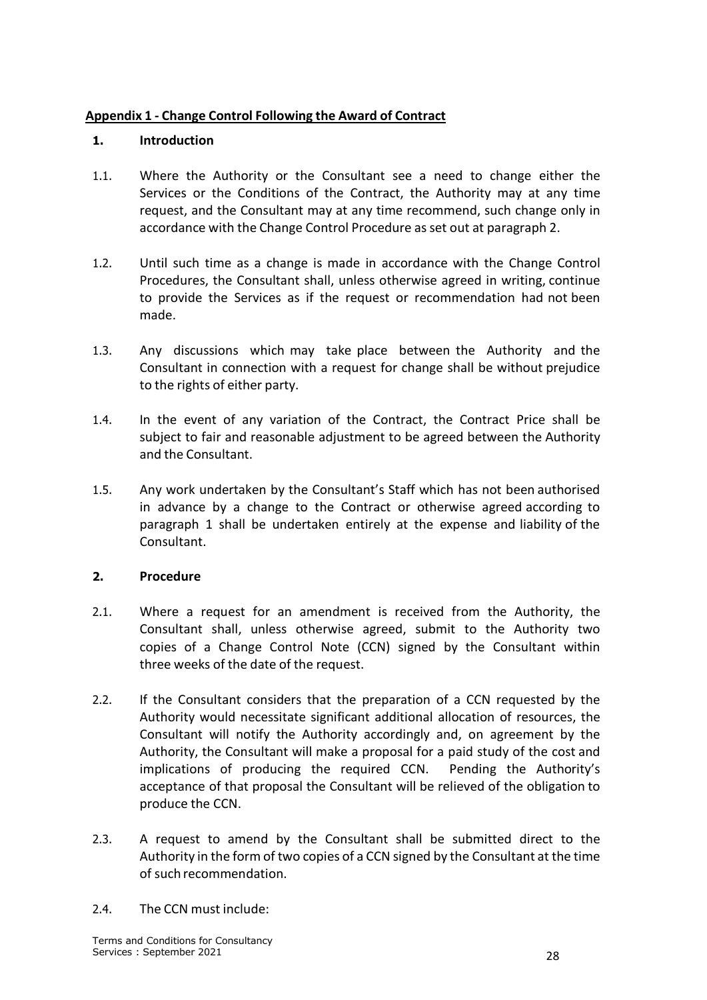# <span id="page-27-0"></span>**Appendix 1 - Change Control Following the Award of Contract**

### **1. Introduction**

- 1.1. Where the Authority or the Consultant see a need to change either the Services or the Conditions of the Contract, the Authority may at any time request, and the Consultant may at any time recommend, such change only in accordance with the Change Control Procedure as set out at paragraph 2.
- 1.2. Until such time as a change is made in accordance with the Change Control Procedures, the Consultant shall, unless otherwise agreed in writing, continue to provide the Services as if the request or recommendation had not been made.
- 1.3. Any discussions which may take place between the Authority and the Consultant in connection with a request for change shall be without prejudice to the rights of either party.
- 1.4. In the event of any variation of the Contract, the Contract Price shall be subject to fair and reasonable adjustment to be agreed between the Authority and the Consultant.
- 1.5. Any work undertaken by the Consultant's Staff which has not been authorised in advance by a change to the Contract or otherwise agreed according to paragraph 1 shall be undertaken entirely at the expense and liability of the Consultant.

### **2. Procedure**

- 2.1. Where a request for an amendment is received from the Authority, the Consultant shall, unless otherwise agreed, submit to the Authority two copies of a Change Control Note (CCN) signed by the Consultant within three weeks of the date of the request.
- 2.2. If the Consultant considers that the preparation of a CCN requested by the Authority would necessitate significant additional allocation of resources, the Consultant will notify the Authority accordingly and, on agreement by the Authority, the Consultant will make a proposal for a paid study of the cost and implications of producing the required CCN. Pending the Authority's acceptance of that proposal the Consultant will be relieved of the obligation to produce the CCN.
- 2.3. A request to amend by the Consultant shall be submitted direct to the Authority in the form of two copies of a CCN signed by the Consultant at the time of such recommendation.
- 2.4. The CCN must include: